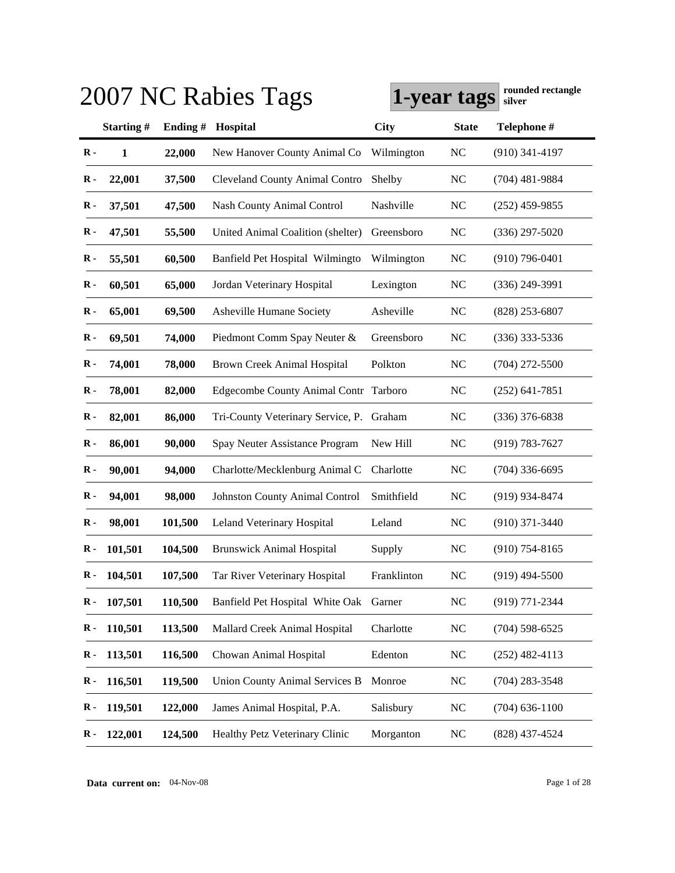|               |           |         | 2007 NC Rabies Tags                    | 1-year tags |                | rounded rectangle<br>silver |
|---------------|-----------|---------|----------------------------------------|-------------|----------------|-----------------------------|
|               | Starting# | Ending# | Hospital                               | <b>City</b> | <b>State</b>   | Telephone #                 |
| $\mathbf R$ - | 1         | 22,000  | New Hanover County Animal Co           | Wilmington  | <b>NC</b>      | $(910)$ 341-4197            |
| $\bf R$ -     | 22,001    | 37,500  | <b>Cleveland County Animal Contro</b>  | Shelby      | <b>NC</b>      | $(704)$ 481-9884            |
| $\mathbf R$ - | 37,501    | 47,500  | Nash County Animal Control             | Nashville   | NC             | $(252)$ 459-9855            |
| $\bf R$ -     | 47,501    | 55,500  | United Animal Coalition (shelter)      | Greensboro  | N <sub>C</sub> | $(336)$ 297-5020            |
| $\mathbf R$ - | 55,501    | 60,500  | Banfield Pet Hospital Wilmingto        | Wilmington  | <b>NC</b>      | $(910)$ 796-0401            |
| $\bf R$ -     | 60,501    | 65,000  | Jordan Veterinary Hospital             | Lexington   | <b>NC</b>      | $(336)$ 249-3991            |
| $\mathbf R$ - | 65,001    | 69,500  | Asheville Humane Society               | Asheville   | <b>NC</b>      | $(828)$ 253-6807            |
| $\mathbf R$ - | 69,501    | 74,000  | Piedmont Comm Spay Neuter &            | Greensboro  | <b>NC</b>      | $(336)$ 333-5336            |
| $\mathbf R$ - | 74,001    | 78,000  | <b>Brown Creek Animal Hospital</b>     | Polkton     | <b>NC</b>      | $(704)$ 272-5500            |
| $\mathbf R$ - | 78,001    | 82,000  | Edgecombe County Animal Contr Tarboro  |             | <b>NC</b>      | $(252)$ 641-7851            |
| $\mathbf R$ - | 82,001    | 86,000  | Tri-County Veterinary Service, P.      | Graham      | <b>NC</b>      | (336) 376-6838              |
| $\mathbf R$ - | 86,001    | 90,000  | Spay Neuter Assistance Program         | New Hill    | <b>NC</b>      | $(919) 783 - 7627$          |
| $\mathbf R$ - | 90,001    | 94,000  | Charlotte/Mecklenburg Animal C         | Charlotte   | <b>NC</b>      | $(704)$ 336-6695            |
| R -           | 94,001    | 98,000  | <b>Johnston County Animal Control</b>  | Smithfield  | <b>NC</b>      | $(919)$ 934-8474            |
| R -           | 98,001    | 101,500 | Leland Veterinary Hospital             | Leland      | N <sub>C</sub> | $(910)$ 371-3440            |
| R -           | 101,501   | 104,500 | <b>Brunswick Animal Hospital</b>       | Supply      | <b>NC</b>      | $(910)$ 754-8165            |
| $\bf R -$     | 104,501   | 107,500 | Tar River Veterinary Hospital          | Franklinton | N <sub>C</sub> | $(919)$ 494-5500            |
| $\bf R$ -     | 107,501   | 110,500 | Banfield Pet Hospital White Oak Garner |             | NC             | (919) 771-2344              |
| $\bf R$ -     | 110,501   | 113,500 | Mallard Creek Animal Hospital          | Charlotte   | NC             | $(704)$ 598-6525            |
| $\bf R$ -     | 113,501   | 116,500 | Chowan Animal Hospital                 | Edenton     | NC             | $(252)$ 482-4113            |
| $\bf R$ -     | 116,501   | 119,500 | <b>Union County Animal Services B</b>  | Monroe      | NC             | $(704)$ 283-3548            |
| $\bf R$ -     | 119,501   | 122,000 | James Animal Hospital, P.A.            | Salisbury   | NC             | $(704)$ 636-1100            |
| $\bf R$ -     | 122,001   | 124,500 | Healthy Petz Veterinary Clinic         | Morganton   | NC             | (828) 437-4524              |

**Data current on:** 04-Nov-08 Page 1 of 28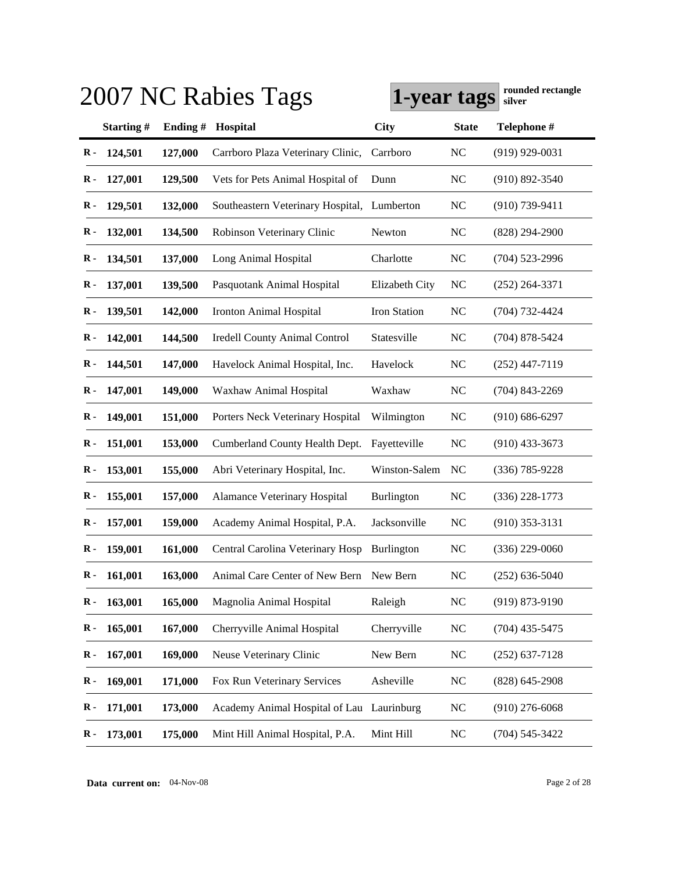|               |               |            | 2007 NC Rabies Tags                       | 1-year tags    |                | rounded rectangle<br>silver |
|---------------|---------------|------------|-------------------------------------------|----------------|----------------|-----------------------------|
|               | Starting#     | Ending $#$ | Hospital                                  | <b>City</b>    | <b>State</b>   | Telephone #                 |
| $\mathbf{R}$  | 124,501       | 127,000    | Carrboro Plaza Veterinary Clinic,         | Carrboro       | N <sub>C</sub> | $(919)$ 929-0031            |
| $\bf R$ -     | 127,001       | 129,500    | Vets for Pets Animal Hospital of          | Dunn           | NC             | $(910) 892 - 3540$          |
| $\bf R$ -     | 129,501       | 132,000    | Southeastern Veterinary Hospital,         | Lumberton      | NC             | $(910) 739 - 9411$          |
| $\bf R$ -     | 132,001       | 134,500    | Robinson Veterinary Clinic                | Newton         | NC             | $(828)$ 294-2900            |
| $\bf R$ -     | 134,501       | 137,000    | Long Animal Hospital                      | Charlotte      | <b>NC</b>      | $(704)$ 523-2996            |
| $\bf R$ -     | 137,001       | 139,500    | Pasquotank Animal Hospital                | Elizabeth City | NC             | $(252)$ 264-3371            |
| $\bf R$ -     | 139,501       | 142,000    | Ironton Animal Hospital                   | Iron Station   | <b>NC</b>      | $(704) 732 - 4424$          |
| $\bf R$ -     | 142,001       | 144,500    | <b>Iredell County Animal Control</b>      | Statesville    | <b>NC</b>      | $(704)$ 878-5424            |
| $\bf R$ -     | 144,501       | 147,000    | Havelock Animal Hospital, Inc.            | Havelock       | <b>NC</b>      | $(252)$ 447-7119            |
| $\bf R$ -     | 147,001       | 149,000    | Waxhaw Animal Hospital                    | Waxhaw         | NC             | $(704)$ 843-2269            |
| $\bf R$ -     | 149,001       | 151,000    | Porters Neck Veterinary Hospital          | Wilmington     | NC             | $(910) 686 - 6297$          |
| R -           | 151,001       | 153,000    | Cumberland County Health Dept.            | Fayetteville   | <b>NC</b>      | $(910)$ 433-3673            |
| $\bf R$ -     | 153,001       | 155,000    | Abri Veterinary Hospital, Inc.            | Winston-Salem  | N <sub>C</sub> | $(336)$ 785-9228            |
| $\bf R$ -     | 155,001       | 157,000    | <b>Alamance Veterinary Hospital</b>       | Burlington     | NC             | $(336)$ 228-1773            |
| R -           | 157,001       | 159,000    | Academy Animal Hospital, P.A.             | Jacksonville   | NC             | $(910)$ 353-3131            |
| R -           | 159,001       | 161,000    | Central Carolina Veterinary Hosp          | Burlington     | NC             | $(336)$ 229-0060            |
|               | $R - 161,001$ | 163,000    | Animal Care Center of New Bern New Bern   |                | NC             | $(252) 636 - 5040$          |
| $\mathbf R$ - | 163,001       | 165,000    | Magnolia Animal Hospital                  | Raleigh        | NC             | $(919) 873 - 9190$          |
| $\bf R$ -     | 165,001       | 167,000    | Cherryville Animal Hospital               | Cherryville    | NC             | $(704)$ 435-5475            |
| $\bf R$ -     | 167,001       | 169,000    | Neuse Veterinary Clinic                   | New Bern       | NC             | $(252)$ 637-7128            |
| $\bf R$ -     | 169,001       | 171,000    | Fox Run Veterinary Services               | Asheville      | NC             | $(828)$ 645-2908            |
| $\bf R$ -     | 171,001       | 173,000    | Academy Animal Hospital of Lau Laurinburg |                | NC             | $(910)$ 276-6068            |
| $\bf R -$     | 173,001       | 175,000    | Mint Hill Animal Hospital, P.A.           | Mint Hill      | NC             | $(704) 545 - 3422$          |

**Data current on:** 04-Nov-08 Page 2 of 28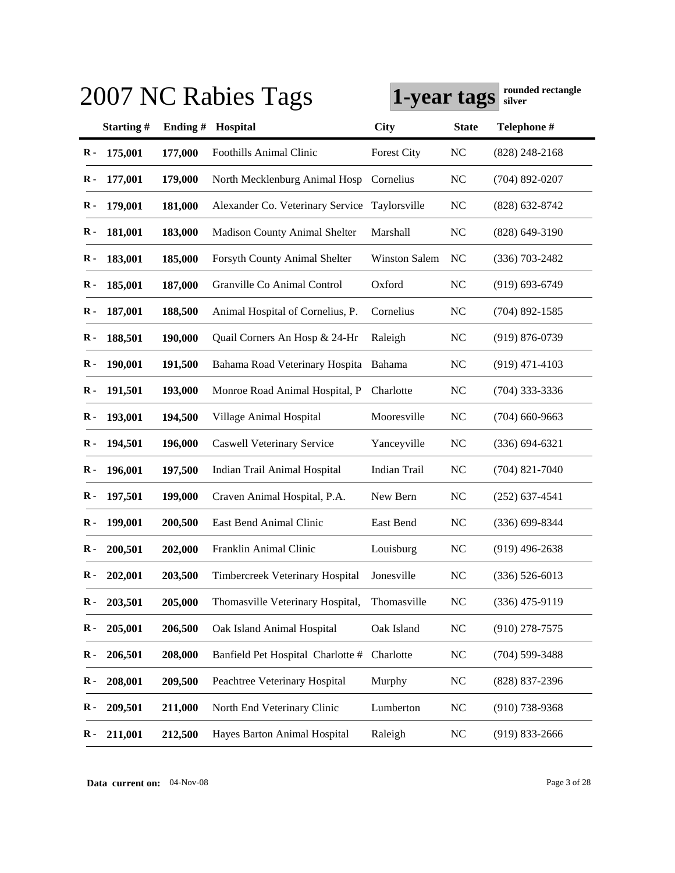|                |               |         | 2007 NC Rabies Tags                  | 1-year tags          |                | rounded rectangle<br>silver |
|----------------|---------------|---------|--------------------------------------|----------------------|----------------|-----------------------------|
|                | Starting#     | Ending# | Hospital                             | <b>City</b>          | <b>State</b>   | Telephone #                 |
| $\mathbf{R}$ - | 175,001       | 177,000 | <b>Foothills Animal Clinic</b>       | Forest City          | <b>NC</b>      | $(828)$ 248-2168            |
| R -            | 177,001       | 179,000 | North Mecklenburg Animal Hosp        | Cornelius            | N <sub>C</sub> | $(704)$ 892-0207            |
| R -            | 179,001       | 181,000 | Alexander Co. Veterinary Service     | Taylorsville         | <b>NC</b>      | $(828)$ 632-8742            |
| R -            | 181,001       | 183,000 | <b>Madison County Animal Shelter</b> | Marshall             | N <sub>C</sub> | $(828)$ 649-3190            |
| R -            | 183,001       | 185,000 | Forsyth County Animal Shelter        | <b>Winston Salem</b> | N <sub>C</sub> | $(336)$ 703-2482            |
| $\bf R$ -      | 185,001       | 187,000 | Granville Co Animal Control          | Oxford               | <b>NC</b>      | $(919) 693 - 6749$          |
| $\bf R$ -      | 187,001       | 188,500 | Animal Hospital of Cornelius, P.     | Cornelius            | <b>NC</b>      | $(704)$ 892-1585            |
| R -            | 188,501       | 190,000 | Quail Corners An Hosp & 24-Hr        | Raleigh              | <b>NC</b>      | $(919) 876 - 0739$          |
| R -            | 190,001       | 191,500 | Bahama Road Veterinary Hospita       | Bahama               | N <sub>C</sub> | $(919)$ 471-4103            |
| $\bf R$ -      | 191,501       | 193,000 | Monroe Road Animal Hospital, P       | Charlotte            | <b>NC</b>      | $(704)$ 333-3336            |
| R -            | 193,001       | 194,500 | Village Animal Hospital              | Mooresville          | <b>NC</b>      | $(704)$ 660-9663            |
| R -            | 194,501       | 196,000 | <b>Caswell Veterinary Service</b>    | Yanceyville          | NC             | $(336) 694 - 6321$          |
| R -            | 196,001       | 197,500 | Indian Trail Animal Hospital         | Indian Trail         | <b>NC</b>      | $(704)$ 821-7040            |
| R -            | 197,501       | 199,000 | Craven Animal Hospital, P.A.         | New Bern             | <b>NC</b>      | $(252)$ 637-4541            |
| R -            | 199,001       | 200,500 | East Bend Animal Clinic              | East Bend            | <b>NC</b>      | $(336)$ 699-8344            |
| R -            | 200,501       | 202,000 | Franklin Animal Clinic               | Louisburg            | <b>NC</b>      | $(919)$ 496-2638            |
|                | $R - 202,001$ | 203,500 | Timbercreek Veterinary Hospital      | Jonesville           | NC             | $(336)$ 526-6013            |
| $\bf R$ -      | 203,501       | 205,000 | Thomasville Veterinary Hospital,     | Thomasville          | <b>NC</b>      | $(336)$ 475-9119            |
| $\bf R$ -      | 205,001       | 206,500 | Oak Island Animal Hospital           | Oak Island           | <b>NC</b>      | $(910)$ 278-7575            |
| $\bf R$ -      | 206,501       | 208,000 | Banfield Pet Hospital Charlotte #    | Charlotte            | <b>NC</b>      | $(704)$ 599-3488            |
| R -            | 208,001       | 209,500 | Peachtree Veterinary Hospital        | Murphy               | NC             | (828) 837-2396              |
| $\bf R$ -      | 209,501       | 211,000 | North End Veterinary Clinic          | Lumberton            | <b>NC</b>      | $(910)$ 738-9368            |
| $\bf R$ -      | 211,001       | 212,500 | Hayes Barton Animal Hospital         | Raleigh              | N <sub>C</sub> | $(919)$ 833-2666            |

**Data current on:** 04-Nov-08 Page 3 of 28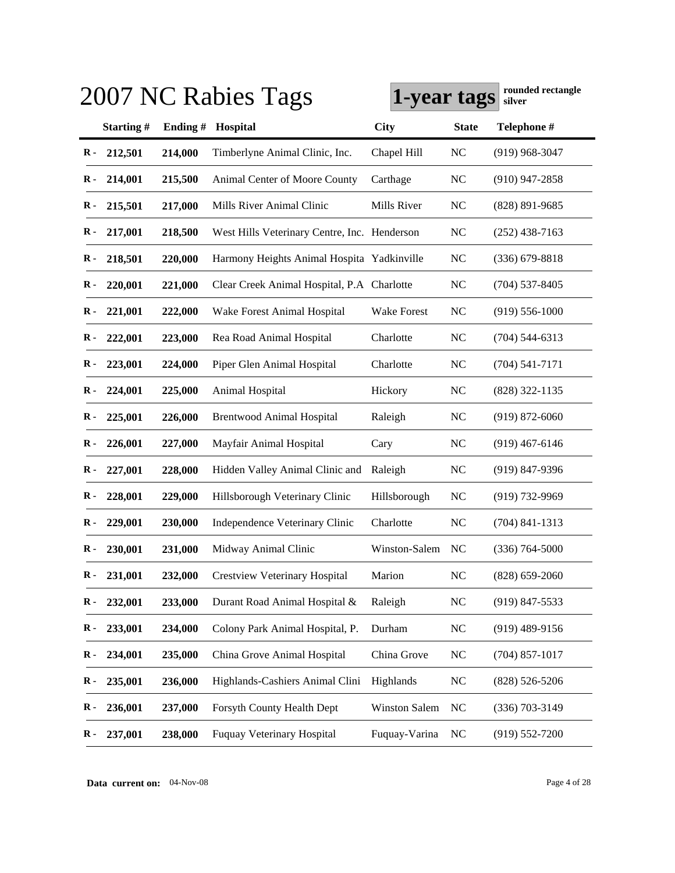|                |               |            | 2007 NC Rabies Tags                          | 1-year tags          |              | rounded rectangle<br>silver |
|----------------|---------------|------------|----------------------------------------------|----------------------|--------------|-----------------------------|
|                | Starting#     | Ending $#$ | <b>Hospital</b>                              | <b>City</b>          | <b>State</b> | Telephone #                 |
| $\mathbf{R}$   | 212,501       | 214,000    | Timberlyne Animal Clinic, Inc.               | Chapel Hill          | <b>NC</b>    | $(919)$ 968-3047            |
| $\bf R$ -      | 214,001       | 215,500    | Animal Center of Moore County                | Carthage             | NC           | $(910)$ 947-2858            |
| $\bf R$ -      | 215,501       | 217,000    | Mills River Animal Clinic                    | Mills River          | NC           | $(828)$ 891-9685            |
| $\bf R$ -      | 217,001       | 218,500    | West Hills Veterinary Centre, Inc. Henderson |                      | NC           | $(252)$ 438-7163            |
| $\bf R$ -      | 218,501       | 220,000    | Harmony Heights Animal Hospita Yadkinville   |                      | <b>NC</b>    | $(336)$ 679-8818            |
| $\bf R$ -      | 220,001       | 221,000    | Clear Creek Animal Hospital, P.A Charlotte   |                      | <b>NC</b>    | $(704)$ 537-8405            |
| $\bf R$ -      | 221,001       | 222,000    | Wake Forest Animal Hospital                  | Wake Forest          | <b>NC</b>    | $(919) 556 - 1000$          |
| $\bf R$ -      | 222,001       | 223,000    | Rea Road Animal Hospital                     | Charlotte            | <b>NC</b>    | $(704)$ 544-6313            |
| R -            | 223,001       | 224,000    | Piper Glen Animal Hospital                   | Charlotte            | NC           | $(704)$ 541-7171            |
| $\bf R$ -      | 224,001       | 225,000    | Animal Hospital                              | Hickory              | NC           | $(828)$ 322-1135            |
| $\bf R$ -      | 225,001       | 226,000    | <b>Brentwood Animal Hospital</b>             | Raleigh              | <b>NC</b>    | $(919)$ 872-6060            |
| R -            | 226,001       | 227,000    | Mayfair Animal Hospital                      | Cary                 | NC           | $(919)$ 467-6146            |
| R -            | 227,001       | 228,000    | Hidden Valley Animal Clinic and              | Raleigh              | <b>NC</b>    | $(919)$ 847-9396            |
| R -            | 228,001       | 229,000    | Hillsborough Veterinary Clinic               | Hillsborough         | NC           | $(919)$ 732-9969            |
| R -            | 229,001       | 230,000    | Independence Veterinary Clinic               | Charlotte            | NC           | $(704)$ 841-1313            |
| R -            | 230,001       | 231,000    | Midway Animal Clinic                         | Winston-Salem        | NC           | $(336) 764 - 5000$          |
|                | $R - 231,001$ | 232,000    | <b>Crestview Veterinary Hospital</b>         | Marion               | NC           | $(828)$ 659-2060            |
| $\mathbf R$ -  | 232,001       | 233,000    | Durant Road Animal Hospital &                | Raleigh              | NC           | $(919)$ 847-5533            |
| $\bf R$ -      | 233,001       | 234,000    | Colony Park Animal Hospital, P.              | Durham               | NC           | $(919)$ 489-9156            |
| $\bf R$ -      | 234,001       | 235,000    | China Grove Animal Hospital                  | China Grove          | NC           | $(704)$ 857-1017            |
| $\bf R$ -      | 235,001       | 236,000    | Highlands-Cashiers Animal Clini              | Highlands            | NC           | $(828) 526 - 5206$          |
| R -            | 236,001       | 237,000    | Forsyth County Health Dept                   | <b>Winston Salem</b> | NC           | (336) 703-3149              |
| $\mathbf{R}$ - | 237,001       | 238,000    | Fuquay Veterinary Hospital                   | Fuquay-Varina        | NC           | $(919) 552 - 7200$          |

**Data current on:** 04-Nov-08 Page 4 of 28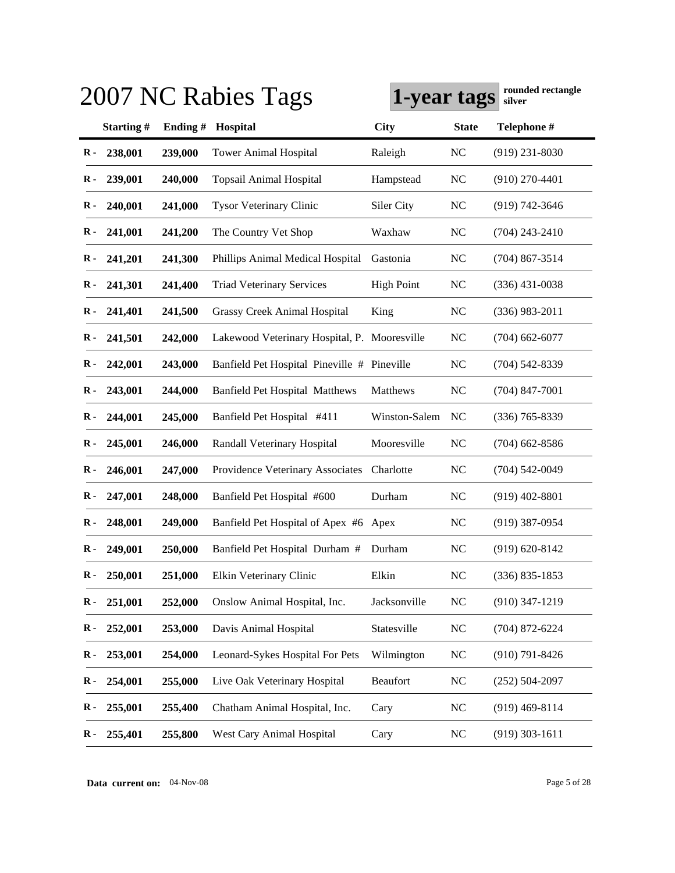|               |               |            | 2007 NC Rabies Tags                          | 1-year tags       |                | rounded rectangle<br>silver |
|---------------|---------------|------------|----------------------------------------------|-------------------|----------------|-----------------------------|
|               | Starting#     | Ending $#$ | <b>Hospital</b>                              | <b>City</b>       | <b>State</b>   | Telephone #                 |
| $\mathbf{R}$  | 238,001       | 239,000    | <b>Tower Animal Hospital</b>                 | Raleigh           | <b>NC</b>      | $(919)$ 231-8030            |
| $\bf R$ -     | 239,001       | 240,000    | <b>Topsail Animal Hospital</b>               | Hampstead         | NC             | $(910)$ 270-4401            |
| $\bf R$ -     | 240,001       | 241,000    | <b>Tysor Veterinary Clinic</b>               | Siler City        | <b>NC</b>      | $(919) 742 - 3646$          |
| $\bf R$ -     | 241,001       | 241,200    | The Country Vet Shop                         | Waxhaw            | NC             | $(704)$ 243-2410            |
| $\bf R$ -     | 241,201       | 241,300    | Phillips Animal Medical Hospital             | Gastonia          | N <sub>C</sub> | $(704)$ 867-3514            |
| $\bf R$ -     | 241,301       | 241,400    | <b>Triad Veterinary Services</b>             | <b>High Point</b> | NC             | $(336)$ 431-0038            |
| $\bf R$ -     | 241,401       | 241,500    | <b>Grassy Creek Animal Hospital</b>          | King              | NC             | $(336)$ 983-2011            |
| $\bf R$ -     | 241,501       | 242,000    | Lakewood Veterinary Hospital, P. Mooresville |                   | NC             | $(704)$ 662-6077            |
| $\bf R$ -     | 242,001       | 243,000    | Banfield Pet Hospital Pineville # Pineville  |                   | <b>NC</b>      | $(704)$ 542-8339            |
| $\bf R$ -     | 243,001       | 244,000    | <b>Banfield Pet Hospital Matthews</b>        | Matthews          | <b>NC</b>      | $(704)$ 847-7001            |
| $\bf R$ -     | 244,001       | 245,000    | Banfield Pet Hospital #411                   | Winston-Salem     | N <sub>C</sub> | $(336)$ 765-8339            |
| R -           | 245,001       | 246,000    | Randall Veterinary Hospital                  | Mooresville       | <b>NC</b>      | $(704)$ 662-8586            |
| R -           | 246,001       | 247,000    | Providence Veterinary Associates             | Charlotte         | <b>NC</b>      | $(704) 542 - 0049$          |
| $\bf R$ -     | 247,001       | 248,000    | Banfield Pet Hospital #600                   | Durham            | N <sub>C</sub> | $(919)$ 402-8801            |
| R -           | 248,001       | 249,000    | Banfield Pet Hospital of Apex #6 Apex        |                   | NC             | $(919)$ 387-0954            |
| R -           | 249,001       | 250,000    | Banfield Pet Hospital Durham #               | Durham            | N <sub>C</sub> | $(919) 620 - 8142$          |
|               | $R - 250,001$ | 251,000    | Elkin Veterinary Clinic                      | Elkin             | NC             | $(336) 835 - 1853$          |
| $\mathbf R$ - | 251,001       | 252,000    | Onslow Animal Hospital, Inc.                 | Jacksonville      | NC             | $(910)$ 347-1219            |
| $\bf R$ -     | 252,001       | 253,000    | Davis Animal Hospital                        | Statesville       | NC             | $(704)$ 872-6224            |
| $\bf R$ -     | 253,001       | 254,000    | Leonard-Sykes Hospital For Pets              | Wilmington        | NC             | $(910) 791 - 8426$          |
| $\bf R$ -     | 254,001       | 255,000    | Live Oak Veterinary Hospital                 | Beaufort          | NC             | $(252) 504 - 2097$          |
| R -           | 255,001       | 255,400    | Chatham Animal Hospital, Inc.                | Cary              | NC             | $(919)$ 469-8114            |
| $\bf R -$     | 255,401       | 255,800    | West Cary Animal Hospital                    | Cary              | NC             | $(919)$ 303-1611            |

**Data current on:** 04-Nov-08 Page 5 of 28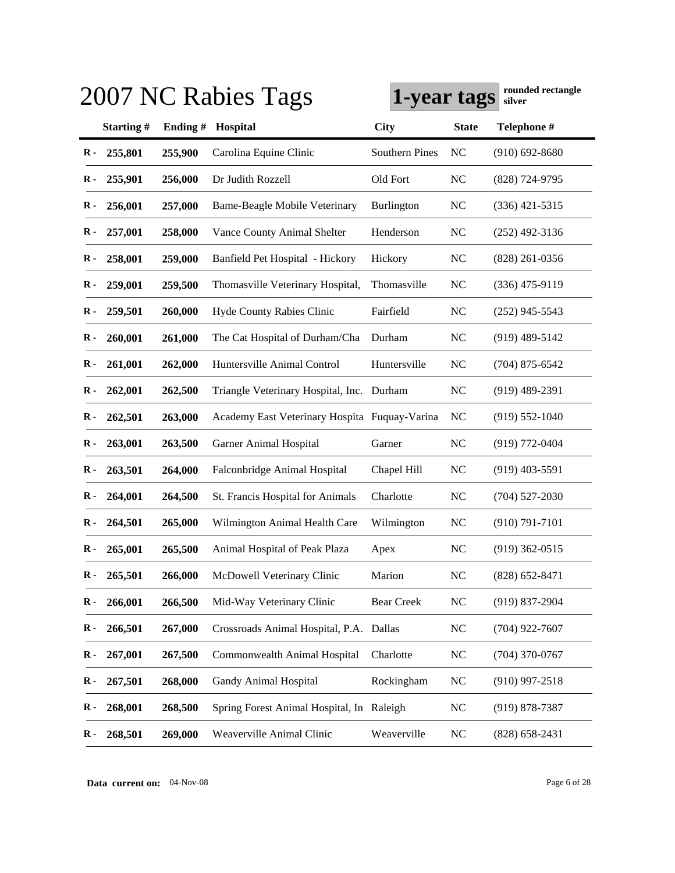|                |               |          | 2007 NC Rabies Tags                           | 1-year tags           |              | rounded rectangle<br>silver |
|----------------|---------------|----------|-----------------------------------------------|-----------------------|--------------|-----------------------------|
|                | Starting#     | Ending # | <b>Hospital</b>                               | <b>City</b>           | <b>State</b> | Telephone #                 |
| $\bf R -$      | 255,801       | 255,900  | Carolina Equine Clinic                        | <b>Southern Pines</b> | NC           | $(910)$ 692-8680            |
| $\bf R$ -      | 255,901       | 256,000  | Dr Judith Rozzell                             | Old Fort              | NC           | (828) 724-9795              |
| $\bf R$ -      | 256,001       | 257,000  | <b>Bame-Beagle Mobile Veterinary</b>          | Burlington            | NC           | $(336)$ 421-5315            |
| $\bf R$ -      | 257,001       | 258,000  | Vance County Animal Shelter                   | Henderson             | NC           | $(252)$ 492-3136            |
| $\bf R$ -      | 258,001       | 259,000  | Banfield Pet Hospital - Hickory               | Hickory               | NC           | $(828)$ 261-0356            |
| $\bf R$ -      | 259,001       | 259,500  | Thomasville Veterinary Hospital,              | Thomasville           | NC           | $(336)$ 475-9119            |
| $\bf R$ -      | 259,501       | 260,000  | Hyde County Rabies Clinic                     | Fairfield             | <b>NC</b>    | $(252)$ 945-5543            |
| $\bf R$ -      | 260,001       | 261,000  | The Cat Hospital of Durham/Cha                | Durham                | NC           | $(919)$ 489-5142            |
| $\bf R$ -      | 261,001       | 262,000  | Huntersville Animal Control                   | Huntersville          | NC           | $(704)$ 875-6542            |
| $\bf R$ -      | 262,001       | 262,500  | Triangle Veterinary Hospital, Inc.            | Durham                | <b>NC</b>    | $(919)$ 489-2391            |
| $\bf R$ -      | 262,501       | 263,000  | Academy East Veterinary Hospita Fuquay-Varina |                       | NC           | $(919)$ 552-1040            |
| R -            | 263,001       | 263,500  | Garner Animal Hospital                        | Garner                | NC           | $(919)$ 772-0404            |
| $\bf R$ -      | 263,501       | 264,000  | Falconbridge Animal Hospital                  | Chapel Hill           | NC           | $(919)$ 403-5591            |
| R -            | 264,001       | 264,500  | St. Francis Hospital for Animals              | Charlotte             | NC           | $(704)$ 527-2030            |
| R -            | 264,501       | 265,000  | Wilmington Animal Health Care                 | Wilmington            | NC           | $(910) 791 - 7101$          |
| R -            | 265,001       | 265,500  | Animal Hospital of Peak Plaza                 | Apex                  | NC           | $(919)$ 362-0515            |
|                | $R - 265,501$ | 266,000  | McDowell Veterinary Clinic                    | Marion                | NC           | $(828)$ 652-8471            |
| $\mathbf R$ -  | 266,001       | 266,500  | Mid-Way Veterinary Clinic                     | <b>Bear Creek</b>     | NC           | $(919) 837 - 2904$          |
| $\bf R$ -      | 266,501       | 267,000  | Crossroads Animal Hospital, P.A. Dallas       |                       | NC           | $(704)$ 922-7607            |
| $\bf R$ -      | 267,001       | 267,500  | Commonwealth Animal Hospital                  | Charlotte             | NC           | $(704)$ 370-0767            |
| $\bf R$ -      | 267,501       | 268,000  | Gandy Animal Hospital                         | Rockingham            | NC           | $(910)$ 997-2518            |
| R -            | 268,001       | 268,500  | Spring Forest Animal Hospital, In Raleigh     |                       | NC           | $(919) 878 - 7387$          |
| $\mathbf{R}$ - | 268,501       | 269,000  | Weaverville Animal Clinic                     | Weaverville           | NC           | $(828) 658 - 2431$          |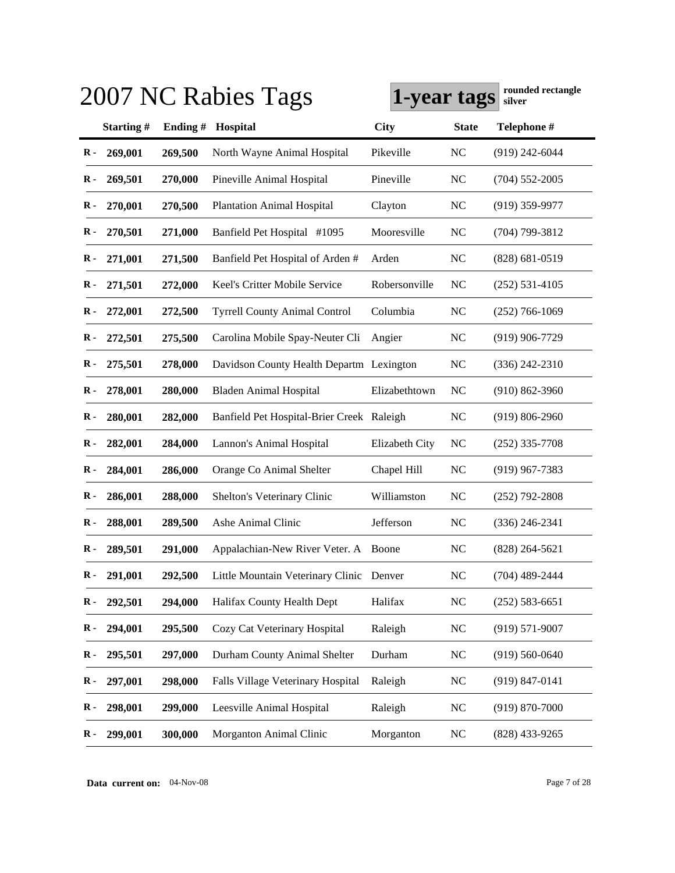|                |               |            | 2007 NC Rabies Tags                       | 1-year tags    |                | rounded rectangle<br>silver |
|----------------|---------------|------------|-------------------------------------------|----------------|----------------|-----------------------------|
|                | Starting#     | Ending $#$ | Hospital                                  | <b>City</b>    | <b>State</b>   | Telephone #                 |
| $\bf R -$      | 269,001       | 269,500    | North Wayne Animal Hospital               | Pikeville      | <b>NC</b>      | $(919)$ 242-6044            |
| R -            | 269,501       | 270,000    | Pineville Animal Hospital                 | Pineville      | NC             | $(704)$ 552-2005            |
| $\bf R$ -      | 270,001       | 270,500    | <b>Plantation Animal Hospital</b>         | Clayton        | NC             | $(919)$ 359-9977            |
| $\bf R$ -      | 270,501       | 271,000    | Banfield Pet Hospital #1095               | Mooresville    | NC             | $(704)$ 799-3812            |
| $\bf R$ -      | 271,001       | 271,500    | Banfield Pet Hospital of Arden #          | Arden          | N <sub>C</sub> | $(828) 681 - 0519$          |
| $\bf R$ -      | 271,501       | 272,000    | Keel's Critter Mobile Service             | Robersonville  | NC             | $(252)$ 531-4105            |
| $\bf R$ -      | 272,001       | 272,500    | <b>Tyrrell County Animal Control</b>      | Columbia       | N <sub>C</sub> | $(252)$ 766-1069            |
| $\bf R$ -      | 272,501       | 275,500    | Carolina Mobile Spay-Neuter Cli           | Angier         | N <sub>C</sub> | $(919)$ 906-7729            |
| $\bf R$ -      | 275,501       | 278,000    | Davidson County Health Departm Lexington  |                | NC             | $(336)$ 242-2310            |
| $\bf R$ -      | 278,001       | 280,000    | <b>Bladen Animal Hospital</b>             | Elizabethtown  | NC             | $(910) 862 - 3960$          |
| $\bf R$ -      | 280,001       | 282,000    | Banfield Pet Hospital-Brier Creek Raleigh |                | NC             | $(919) 806 - 2960$          |
| R -            | 282,001       | 284,000    | Lannon's Animal Hospital                  | Elizabeth City | NC             | $(252)$ 335-7708            |
| R -            | 284,001       | 286,000    | Orange Co Animal Shelter                  | Chapel Hill    | N <sub>C</sub> | $(919)$ 967-7383            |
| R -            | 286,001       | 288,000    | Shelton's Veterinary Clinic               | Williamston    | N <sub>C</sub> | $(252)$ 792-2808            |
| R -            | 288,001       | 289,500    | Ashe Animal Clinic                        | Jefferson      | NC             | $(336)$ 246-2341            |
| R -            | 289,501       | 291,000    | Appalachian-New River Veter. A            | Boone          | N <sub>C</sub> | $(828)$ 264-5621            |
|                | $R - 291,001$ | 292,500    | Little Mountain Veterinary Clinic Denver  |                | NC             | $(704)$ 489-2444            |
| $\mathbf R$ -  | 292,501       | 294,000    | Halifax County Health Dept                | Halifax        | NC             | $(252) 583 - 6651$          |
| $\bf R$ -      | 294,001       | 295,500    | Cozy Cat Veterinary Hospital              | Raleigh        | NC             | $(919) 571 - 9007$          |
| $\bf R$ -      | 295,501       | 297,000    | Durham County Animal Shelter              | Durham         | NC             | $(919) 560 - 0640$          |
| $\bf R$ -      | 297,001       | 298,000    | Falls Village Veterinary Hospital         | Raleigh        | NC             | $(919) 847 - 0141$          |
| R -            | 298,001       | 299,000    | Leesville Animal Hospital                 | Raleigh        | NC             | $(919) 870 - 7000$          |
| $\mathbf{R}$ - | 299,001       | 300,000    | Morganton Animal Clinic                   | Morganton      | NC             | $(828)$ 433-9265            |

**Data current on:** 04-Nov-08 Page 7 of 28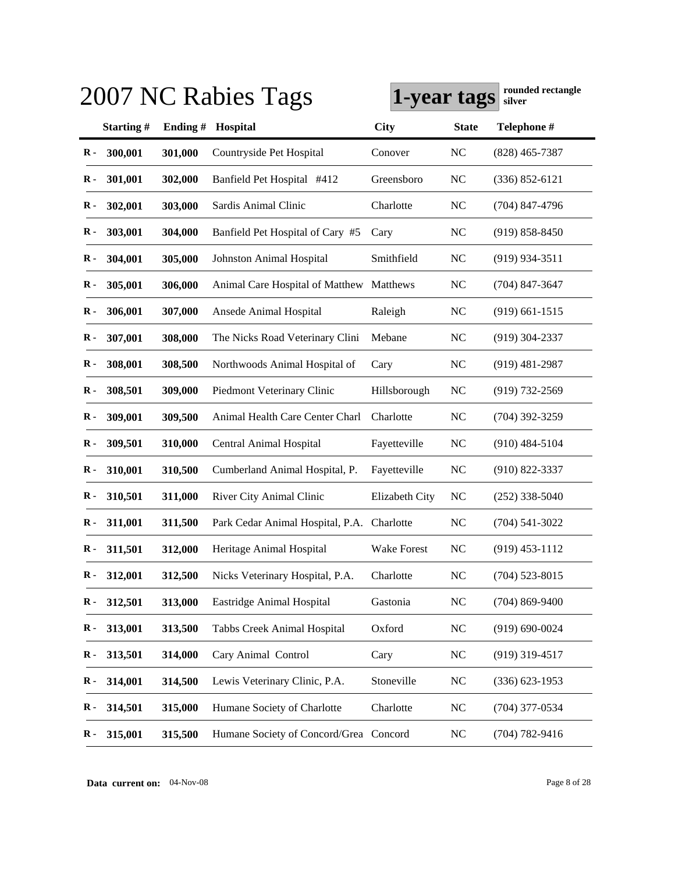|               |               |          | 2007 NC Rabies Tags                      | 1-year tags    |                | rounded rectangle<br>silver |
|---------------|---------------|----------|------------------------------------------|----------------|----------------|-----------------------------|
|               | Starting#     | Ending # | <b>Hospital</b>                          | <b>City</b>    | <b>State</b>   | Telephone #                 |
| $\bf R -$     | 300,001       | 301,000  | Countryside Pet Hospital                 | Conover        | N <sub>C</sub> | $(828)$ 465-7387            |
| $\bf R$ -     | 301,001       | 302,000  | Banfield Pet Hospital #412               | Greensboro     | NC             | $(336) 852 - 6121$          |
| $\bf R$ -     | 302,001       | 303,000  | Sardis Animal Clinic                     | Charlotte      | NC             | $(704)$ 847-4796            |
| $\bf R$ -     | 303,001       | 304,000  | Banfield Pet Hospital of Cary #5         | Cary           | NC             | $(919) 858 - 8450$          |
| $\bf R$ -     | 304,001       | 305,000  | Johnston Animal Hospital                 | Smithfield     | NC             | $(919)$ 934-3511            |
| $\bf R$ -     | 305,001       | 306,000  | Animal Care Hospital of Matthew Matthews |                | NC             | $(704)$ 847-3647            |
| $\bf R$ -     | 306,001       | 307,000  | Ansede Animal Hospital                   | Raleigh        | NC             | $(919)$ 661-1515            |
| $\bf R$ -     | 307,001       | 308,000  | The Nicks Road Veterinary Clini          | Mebane         | NC             | $(919)$ 304-2337            |
| R -           | 308,001       | 308,500  | Northwoods Animal Hospital of            | Cary           | NC             | $(919)$ 481-2987            |
| $\bf R$ -     | 308,501       | 309,000  | Piedmont Veterinary Clinic               | Hillsborough   | N <sub>C</sub> | $(919) 732 - 2569$          |
| $\bf R$ -     | 309,001       | 309,500  | Animal Health Care Center Charl          | Charlotte      | N <sub>C</sub> | $(704)$ 392-3259            |
| R -           | 309,501       | 310,000  | Central Animal Hospital                  | Fayetteville   | NC             | $(910)$ 484-5104            |
| R -           | 310,001       | 310,500  | Cumberland Animal Hospital, P.           | Fayetteville   | <b>NC</b>      | $(910) 822 - 3337$          |
| R -           | 310,501       | 311,000  | River City Animal Clinic                 | Elizabeth City | NC             | $(252)$ 338-5040            |
| R -           | 311,001       | 311,500  | Park Cedar Animal Hospital, P.A.         | Charlotte      | NC             | $(704)$ 541-3022            |
| R -           | 311,501       | 312,000  | Heritage Animal Hospital                 | Wake Forest    | NC             | $(919)$ 453-1112            |
|               | $R - 312,001$ | 312,500  | Nicks Veterinary Hospital, P.A.          | Charlotte      | NC             | $(704)$ 523-8015            |
| $\mathbf R$ - | 312,501       | 313,000  | Eastridge Animal Hospital                | Gastonia       | NC             | $(704)$ 869-9400            |
| $\bf R$ -     | 313,001       | 313,500  | Tabbs Creek Animal Hospital              | Oxford         | NC             | $(919) 690 - 0024$          |
| $\bf R$ -     | 313,501       | 314,000  | Cary Animal Control                      | Cary           | NC             | $(919)$ 319-4517            |
| $\bf R$ -     | 314,001       | 314,500  | Lewis Veterinary Clinic, P.A.            | Stoneville     | NC             | $(336)$ 623-1953            |
| $\bf R$ -     | 314,501       | 315,000  | Humane Society of Charlotte              | Charlotte      | NC             | $(704)$ 377-0534            |
| $\mathbf{R}$  | 315,001       | 315,500  | Humane Society of Concord/Grea Concord   |                | NC             | $(704) 782 - 9416$          |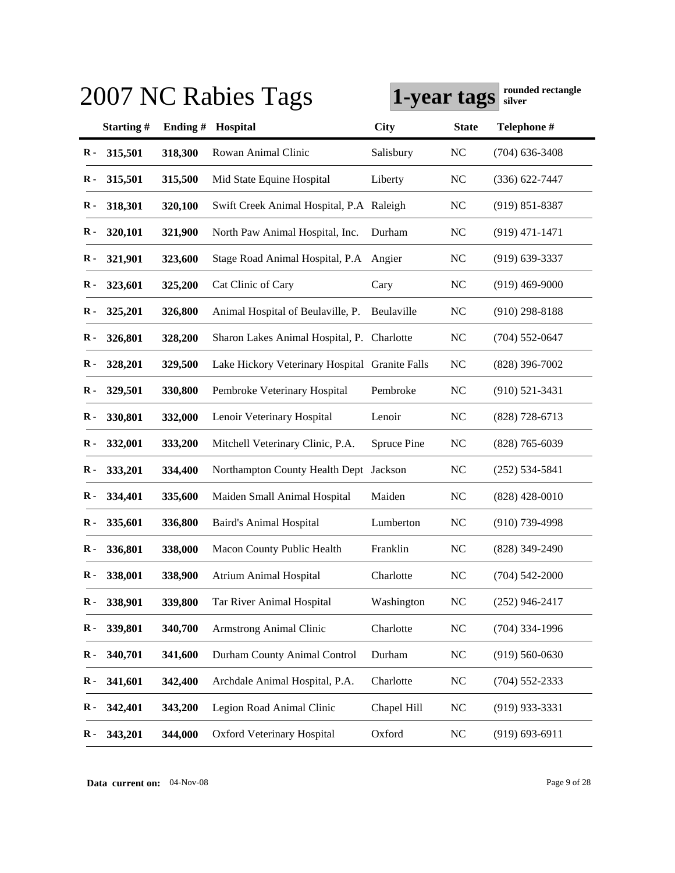|               |           |          | 2007 NC Rabies Tags                            | 1-year tags |              | rounded rectangle<br>silver |
|---------------|-----------|----------|------------------------------------------------|-------------|--------------|-----------------------------|
|               | Starting# | Ending # | Hospital                                       | <b>City</b> | <b>State</b> | Telephone #                 |
| $\bf R -$     | 315,501   | 318,300  | Rowan Animal Clinic                            | Salisbury   | <b>NC</b>    | $(704)$ 636-3408            |
| $\bf R$ -     | 315,501   | 315,500  | Mid State Equine Hospital                      | Liberty     | NC           | $(336) 622 - 7447$          |
| $\bf R$ -     | 318,301   | 320,100  | Swift Creek Animal Hospital, P.A Raleigh       |             | NC           | $(919) 851 - 8387$          |
| $\bf R$ -     | 320,101   | 321,900  | North Paw Animal Hospital, Inc.                | Durham      | NC           | $(919)$ 471-1471            |
| $\bf R$ -     | 321,901   | 323,600  | Stage Road Animal Hospital, P.A                | Angier      | NC           | $(919)$ 639-3337            |
| $\bf R$ -     | 323,601   | 325,200  | Cat Clinic of Cary                             | Cary        | NC           | $(919)$ 469-9000            |
| $\bf R$ -     | 325,201   | 326,800  | Animal Hospital of Beulaville, P.              | Beulaville  | <b>NC</b>    | $(910)$ 298-8188            |
| $\bf R$ -     | 326,801   | 328,200  | Sharon Lakes Animal Hospital, P. Charlotte     |             | NC           | $(704)$ 552-0647            |
| $\bf R$ -     | 328,201   | 329,500  | Lake Hickory Veterinary Hospital Granite Falls |             | NC           | $(828)$ 396-7002            |
| $\bf R$ -     | 329,501   | 330,800  | Pembroke Veterinary Hospital                   | Pembroke    | NC           | $(910)$ 521-3431            |
| $\bf R$ -     | 330,801   | 332,000  | Lenoir Veterinary Hospital                     | Lenoir      | NC           | $(828)$ 728-6713            |
| R -           | 332,001   | 333,200  | Mitchell Veterinary Clinic, P.A.               | Spruce Pine | NC           | $(828)$ 765-6039            |
| R -           | 333,201   | 334,400  | Northampton County Health Dept Jackson         |             | NC           | $(252) 534 - 5841$          |
| R -           | 334,401   | 335,600  | Maiden Small Animal Hospital                   | Maiden      | NC           | $(828)$ 428-0010            |
| R -           | 335,601   | 336,800  | <b>Baird's Animal Hospital</b>                 | Lumberton   | NC           | $(910)$ 739-4998            |
| R -           | 336,801   | 338,000  | Macon County Public Health                     | Franklin    | NC           | $(828)$ 349-2490            |
|               | R-338,001 | 338,900  | <b>Atrium Animal Hospital</b>                  | Charlotte   | NC           | $(704)$ 542-2000            |
| $\mathbf R$ - | 338,901   | 339,800  | Tar River Animal Hospital                      | Washington  | NC           | $(252)$ 946-2417            |
| $\bf R$ -     | 339,801   | 340,700  | <b>Armstrong Animal Clinic</b>                 | Charlotte   | NC           | $(704)$ 334-1996            |
| $\bf R$ -     | 340,701   | 341,600  | Durham County Animal Control                   | Durham      | NC           | $(919) 560 - 0630$          |
| $\bf R$ -     | 341,601   | 342,400  | Archdale Animal Hospital, P.A.                 | Charlotte   | NC           | $(704)$ 552-2333            |
| $\bf R$ -     | 342,401   | 343,200  | Legion Road Animal Clinic                      | Chapel Hill | NC           | $(919)$ 933-3331            |
| $\bf R -$     | 343,201   | 344,000  | Oxford Veterinary Hospital                     | Oxford      | NC           | $(919) 693 - 6911$          |

**Data current on:** 04-Nov-08 Page 9 of 28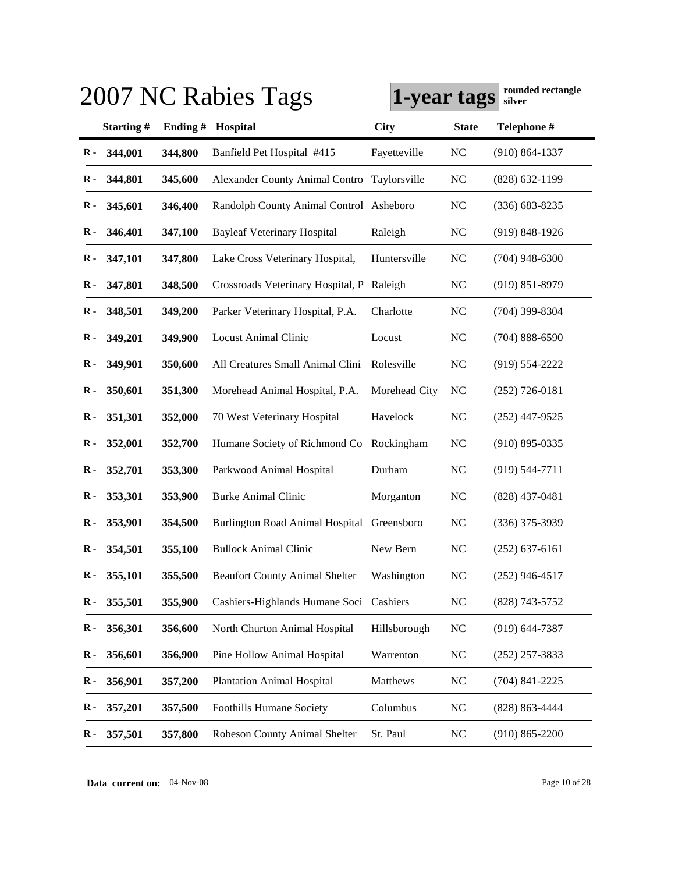|               |               |         | 2007 NC Rabies Tags                     | 1-year tags   |              | rounded rectangle<br>silver |
|---------------|---------------|---------|-----------------------------------------|---------------|--------------|-----------------------------|
|               | Starting#     | Ending# | Hospital                                | <b>City</b>   | <b>State</b> | Telephone #                 |
| $\bf R -$     | 344,001       | 344,800 | Banfield Pet Hospital #415              | Fayetteville  | <b>NC</b>    | $(910) 864 - 1337$          |
| R -           | 344,801       | 345,600 | <b>Alexander County Animal Contro</b>   | Taylorsville  | NC           | $(828)$ 632-1199            |
| $\bf R$ -     | 345,601       | 346,400 | Randolph County Animal Control Asheboro |               | NC           | $(336)$ 683-8235            |
| R -           | 346,401       | 347,100 | <b>Bayleaf Veterinary Hospital</b>      | Raleigh       | <b>NC</b>    | $(919) 848 - 1926$          |
| $\bf R$ -     | 347,101       | 347,800 | Lake Cross Veterinary Hospital,         | Huntersville  | NC           | $(704)$ 948-6300            |
| $\bf R$ -     | 347,801       | 348,500 | Crossroads Veterinary Hospital, P       | Raleigh       | NC           | $(919) 851 - 8979$          |
| $\bf R$ -     | 348,501       | 349,200 | Parker Veterinary Hospital, P.A.        | Charlotte     | NC           | $(704)$ 399-8304            |
| $\bf R$ -     | 349,201       | 349,900 | <b>Locust Animal Clinic</b>             | Locust        | NC           | $(704) 888 - 6590$          |
| R -           | 349,901       | 350,600 | All Creatures Small Animal Clini        | Rolesville    | <b>NC</b>    | $(919)$ 554-2222            |
| $\bf R$ -     | 350,601       | 351,300 | Morehead Animal Hospital, P.A.          | Morehead City | NC           | $(252)$ 726-0181            |
| $\bf R$ -     | 351,301       | 352,000 | 70 West Veterinary Hospital             | Havelock      | <b>NC</b>    | $(252)$ 447-9525            |
| R -           | 352,001       | 352,700 | Humane Society of Richmond Co           | Rockingham    | NC           | $(910)$ 895-0335            |
| R -           | 352,701       | 353,300 | Parkwood Animal Hospital                | Durham        | NC           | $(919) 544 - 7711$          |
| R -           | 353,301       | 353,900 | <b>Burke Animal Clinic</b>              | Morganton     | NC           | $(828)$ 437-0481            |
| R -           | 353,901       | 354,500 | <b>Burlington Road Animal Hospital</b>  | Greensboro    | NC           | $(336)$ 375-3939            |
| R -           | 354,501       | 355,100 | <b>Bullock Animal Clinic</b>            | New Bern      | NC           | $(252)$ 637-6161            |
|               | $R - 355,101$ | 355,500 | <b>Beaufort County Animal Shelter</b>   | Washington    | NC           | $(252)$ 946-4517            |
| $\mathbf R$ - | 355,501       | 355,900 | Cashiers-Highlands Humane Soci Cashiers |               | NC           | (828) 743-5752              |
| $\bf R$ -     | 356,301       | 356,600 | North Churton Animal Hospital           | Hillsborough  | NC           | $(919) 644 - 7387$          |
| $\bf R$ -     | 356,601       | 356,900 | Pine Hollow Animal Hospital             | Warrenton     | NC           | $(252)$ 257-3833            |
| $\bf R$ -     | 356,901       | 357,200 | <b>Plantation Animal Hospital</b>       | Matthews      | NC           | $(704)$ 841-2225            |
| R -           | 357,201       | 357,500 | <b>Foothills Humane Society</b>         | Columbus      | NC           | (828) 863-4444              |
| $\bf R$ -     | 357,501       | 357,800 | Robeson County Animal Shelter           | St. Paul      | NC           | $(910) 865 - 2200$          |

**Data current on:** 04-Nov-08 Page 10 of 28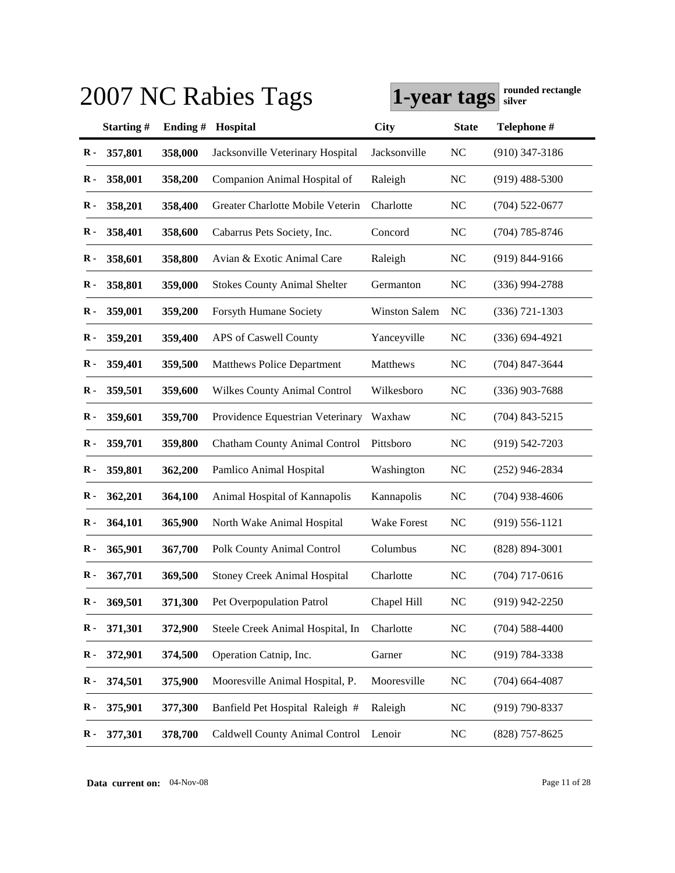|                |            |            | 2007 NC Rabies Tags                  | 1-year tags          |                | rounded rectangle<br>silver |
|----------------|------------|------------|--------------------------------------|----------------------|----------------|-----------------------------|
|                | Starting#  | Ending $#$ | <b>Hospital</b>                      | <b>City</b>          | <b>State</b>   | Telephone #                 |
| $\bf R -$      | 357,801    | 358,000    | Jacksonville Veterinary Hospital     | Jacksonville         | <b>NC</b>      | $(910)$ 347-3186            |
| $\bf R$ -      | 358,001    | 358,200    | Companion Animal Hospital of         | Raleigh              | NC             | $(919)$ 488-5300            |
| $\bf R$ -      | 358,201    | 358,400    | Greater Charlotte Mobile Veterin     | Charlotte            | NC             | $(704)$ 522-0677            |
| $\bf R$ -      | 358,401    | 358,600    | Cabarrus Pets Society, Inc.          | Concord              | NC             | $(704)$ 785-8746            |
| $\bf R$ -      | 358,601    | 358,800    | Avian & Exotic Animal Care           | Raleigh              | <b>NC</b>      | $(919) 844-9166$            |
| $\bf R$ -      | 358,801    | 359,000    | <b>Stokes County Animal Shelter</b>  | Germanton            | NC             | $(336)$ 994-2788            |
| $\bf R$ -      | 359,001    | 359,200    | Forsyth Humane Society               | <b>Winston Salem</b> | N <sub>C</sub> | $(336)$ 721-1303            |
| $\bf R$ -      | 359,201    | 359,400    | APS of Caswell County                | Yanceyville          | N <sub>C</sub> | $(336) 694 - 4921$          |
| R -            | 359,401    | 359,500    | <b>Matthews Police Department</b>    | Matthews             | <b>NC</b>      | $(704)$ 847-3644            |
| $\bf R$ -      | 359,501    | 359,600    | <b>Wilkes County Animal Control</b>  | Wilkesboro           | <b>NC</b>      | $(336)$ 903-7688            |
| $\bf R$ -      | 359,601    | 359,700    | Providence Equestrian Veterinary     | Waxhaw               | <b>NC</b>      | $(704)$ 843-5215            |
| R -            | 359,701    | 359,800    | <b>Chatham County Animal Control</b> | Pittsboro            | NC             | $(919)$ 542-7203            |
| R -            | 359,801    | 362,200    | Pamlico Animal Hospital              | Washington           | NC             | $(252)$ 946-2834            |
| R -            | 362,201    | 364,100    | Animal Hospital of Kannapolis        | Kannapolis           | NC             | $(704)$ 938-4606            |
| R -            | 364,101    | 365,900    | North Wake Animal Hospital           | Wake Forest          | NC             | $(919)$ 556-1121            |
| R -            | 365,901    | 367,700    | Polk County Animal Control           | Columbus             | <b>NC</b>      | $(828) 894 - 3001$          |
|                | R- 367,701 | 369,500    | Stoney Creek Animal Hospital         | Charlotte            | NC             | $(704)$ 717-0616            |
| $\mathbf R$ -  | 369,501    | 371,300    | Pet Overpopulation Patrol            | Chapel Hill          | NC             | $(919)$ 942-2250            |
| $\bf R$ -      | 371,301    | 372,900    | Steele Creek Animal Hospital, In     | Charlotte            | NC             | $(704)$ 588-4400            |
| $\bf R$ -      | 372,901    | 374,500    | Operation Catnip, Inc.               | Garner               | NC             | $(919) 784 - 3338$          |
| $\bf R$ -      | 374,501    | 375,900    | Mooresville Animal Hospital, P.      | Mooresville          | NC             | $(704)$ 664-4087            |
| R -            | 375,901    | 377,300    | Banfield Pet Hospital Raleigh #      | Raleigh              | NC             | $(919) 790 - 8337$          |
| $\mathbf{R}$ - | 377,301    | 378,700    | Caldwell County Animal Control       | Lenoir               | NC             | $(828)$ 757-8625            |

**Data current on:** 04-Nov-08 Page 11 of 28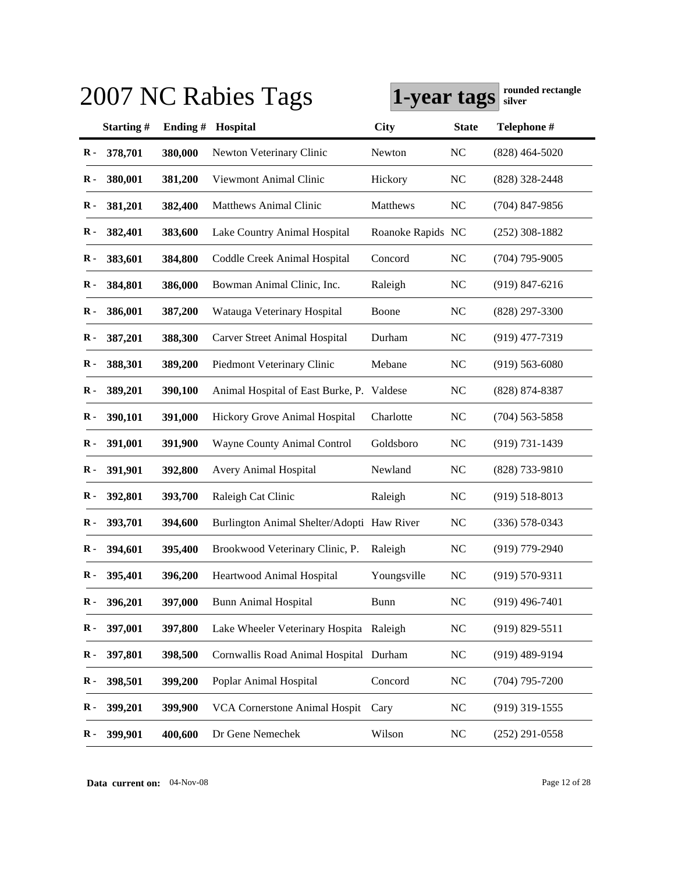|               |           |          | 2007 NC Rabies Tags                        | 1-year tags       |              | rounded rectangle<br>silver |
|---------------|-----------|----------|--------------------------------------------|-------------------|--------------|-----------------------------|
|               | Starting# | Ending # | <b>Hospital</b>                            | <b>City</b>       | <b>State</b> | Telephone #                 |
| $\bf R -$     | 378,701   | 380,000  | Newton Veterinary Clinic                   | Newton            | NC           | $(828)$ 464-5020            |
| R -           | 380,001   | 381,200  | Viewmont Animal Clinic                     | Hickory           | NC           | $(828)$ 328-2448            |
| $\bf R$ -     | 381,201   | 382,400  | <b>Matthews Animal Clinic</b>              | Matthews          | NC           | $(704)$ 847-9856            |
| $\bf R$ -     | 382,401   | 383,600  | Lake Country Animal Hospital               | Roanoke Rapids NC |              | $(252)$ 308-1882            |
| $\bf R$ -     | 383,601   | 384,800  | Coddle Creek Animal Hospital               | Concord           | NC           | $(704)$ 795-9005            |
| $\bf R$ -     | 384,801   | 386,000  | Bowman Animal Clinic, Inc.                 | Raleigh           | NC           | $(919)$ 847-6216            |
| $\bf R$ -     | 386,001   | 387,200  | Watauga Veterinary Hospital                | Boone             | NC           | $(828)$ 297-3300            |
| $\bf R$ -     | 387,201   | 388,300  | <b>Carver Street Animal Hospital</b>       | Durham            | NC           | $(919)$ 477-7319            |
| R -           | 388,301   | 389,200  | Piedmont Veterinary Clinic                 | Mebane            | NC           | $(919)$ 563-6080            |
| $\bf R$ -     | 389,201   | 390,100  | Animal Hospital of East Burke, P.          | Valdese           | <b>NC</b>    | $(828)$ 874-8387            |
| $\bf R$ -     | 390,101   | 391,000  | Hickory Grove Animal Hospital              | Charlotte         | <b>NC</b>    | $(704)$ 563-5858            |
| R -           | 391,001   | 391,900  | Wayne County Animal Control                | Goldsboro         | NC           | $(919) 731 - 1439$          |
| R -           | 391,901   | 392,800  | <b>Avery Animal Hospital</b>               | Newland           | NC           | $(828)$ 733-9810            |
| R -           | 392,801   | 393,700  | Raleigh Cat Clinic                         | Raleigh           | NC           | $(919)$ 518-8013            |
| R -           | 393,701   | 394,600  | Burlington Animal Shelter/Adopti Haw River |                   | NC           | $(336)$ 578-0343            |
| R -           | 394,601   | 395,400  | Brookwood Veterinary Clinic, P.            | Raleigh           | NC           | $(919)$ 779-2940            |
|               | R-395,401 | 396,200  | Heartwood Animal Hospital                  | Youngsville       | NC           | $(919)$ 570-9311            |
| $\mathbf R$ - | 396,201   | 397,000  | <b>Bunn Animal Hospital</b>                | <b>Bunn</b>       | NC           | $(919)$ 496-7401            |
| $\bf R$ -     | 397,001   | 397,800  | Lake Wheeler Veterinary Hospita Raleigh    |                   | NC           | $(919) 829 - 5511$          |
| $\bf R$ -     | 397,801   | 398,500  | Cornwallis Road Animal Hospital Durham     |                   | NC           | $(919)$ 489-9194            |
| $\bf R$ -     | 398,501   | 399,200  | Poplar Animal Hospital                     | Concord           | NC           | $(704)$ 795-7200            |
| R -           | 399,201   | 399,900  | VCA Cornerstone Animal Hospit              | Cary              | NC           | $(919)$ 319-1555            |
| $\bf R -$     | 399,901   | 400,600  | Dr Gene Nemechek                           | Wilson            | NC           | $(252)$ 291-0558            |

**Data current on:** 04-Nov-08 Page 12 of 28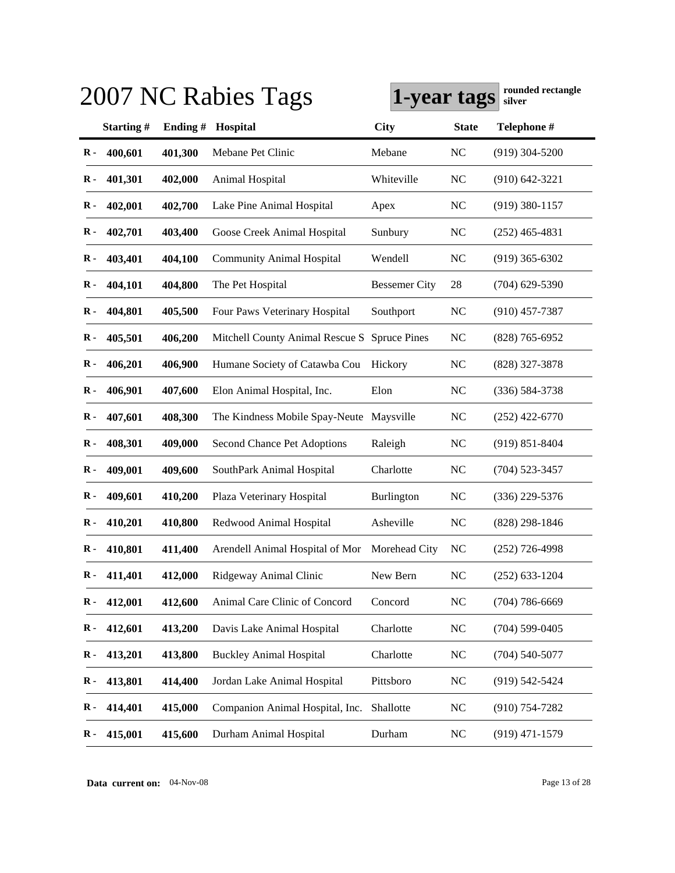|               |           |         | 2007 NC Rabies Tags                      | 1-year tags          |              | rounded rectangle<br>silver |
|---------------|-----------|---------|------------------------------------------|----------------------|--------------|-----------------------------|
|               | Starting# | Ending# | Hospital                                 | <b>City</b>          | <b>State</b> | Telephone #                 |
| $\mathbf R$ - | 400,601   | 401,300 | Mebane Pet Clinic                        | Mebane               | NC           | $(919)$ 304-5200            |
| R -           | 401,301   | 402,000 | Animal Hospital                          | Whiteville           | NC           | $(910) 642 - 3221$          |
| R -           | 402,001   | 402,700 | Lake Pine Animal Hospital                | Apex                 | NC           | $(919)$ 380-1157            |
| R -           | 402,701   | 403,400 | Goose Creek Animal Hospital              | Sunbury              | NC           | $(252)$ 465-4831            |
| R -           | 403,401   | 404,100 | <b>Community Animal Hospital</b>         | Wendell              | NC           | $(919)$ 365-6302            |
| R -           | 404,101   | 404,800 | The Pet Hospital                         | <b>Bessemer City</b> | 28           | $(704)$ 629-5390            |
| $\bf R$ -     | 404,801   | 405,500 | Four Paws Veterinary Hospital            | Southport            | NC           | $(910)$ 457-7387            |
| $\bf R$ -     | 405,501   | 406,200 | Mitchell County Animal Rescue S          | <b>Spruce Pines</b>  | NC           | $(828)$ 765-6952            |
| R -           | 406,201   | 406,900 | Humane Society of Catawba Cou            | Hickory              | NC           | $(828)$ 327-3878            |
| R -           | 406,901   | 407,600 | Elon Animal Hospital, Inc.               | Elon                 | NC           | $(336) 584 - 3738$          |
| $\bf R$ -     | 407,601   | 408,300 | The Kindness Mobile Spay-Neute Maysville |                      | <b>NC</b>    | $(252)$ 422-6770            |
| R -           | 408,301   | 409,000 | Second Chance Pet Adoptions              | Raleigh              | NC           | $(919) 851 - 8404$          |
| R -           | 409,001   | 409,600 | SouthPark Animal Hospital                | Charlotte            | NC           | $(704)$ 523-3457            |
| R -           | 409,601   | 410,200 | Plaza Veterinary Hospital                | Burlington           | NC           | $(336)$ 229-5376            |
| R -           | 410,201   | 410,800 | Redwood Animal Hospital                  | Asheville            | NC           | $(828)$ 298-1846            |
| R -           | 410,801   | 411,400 | Arendell Animal Hospital of Mor          | Morehead City        | NC           | $(252)$ 726-4998            |
| $\bf R -$     | 411.401   | 412,000 | Ridgeway Animal Clinic                   | New Bern             | NC           | $(252)$ 633-1204            |
| $\mathbf R$ - | 412,001   | 412,600 | Animal Care Clinic of Concord            | Concord              | NC           | $(704) 786 - 6669$          |
| $\bf R$ -     | 412,601   | 413,200 | Davis Lake Animal Hospital               | Charlotte            | NC           | $(704)$ 599-0405            |
| $\bf R$ -     | 413,201   | 413,800 | <b>Buckley Animal Hospital</b>           | Charlotte            | NC           | $(704)$ 540-5077            |
| $\mathbf R$ - | 413,801   | 414,400 | Jordan Lake Animal Hospital              | Pittsboro            | NC           | (919) 542-5424              |
| $\bf R$ -     | 414,401   | 415,000 | Companion Animal Hospital, Inc.          | Shallotte            | NC           | $(910)$ 754-7282            |
| $\mathbf{R}$  | 415,001   | 415,600 | Durham Animal Hospital                   | Durham               | NC           | $(919)$ 471-1579            |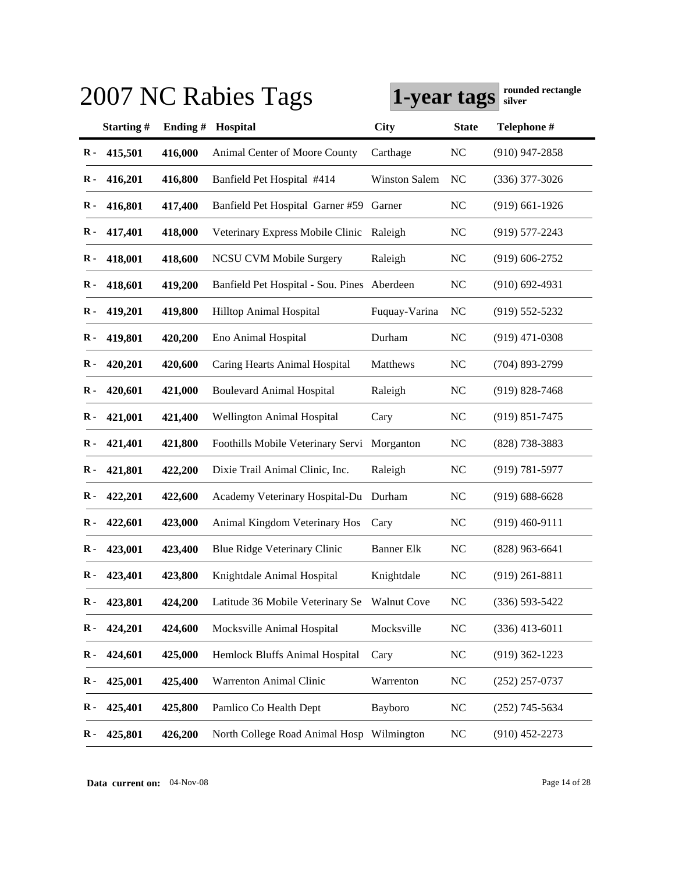|               |           |            | 2007 NC Rabies Tags                          | 1-year tags          |                | rounded rectangle<br>silver |
|---------------|-----------|------------|----------------------------------------------|----------------------|----------------|-----------------------------|
|               | Starting# | Ending $#$ | <b>Hospital</b>                              | <b>City</b>          | <b>State</b>   | Telephone #                 |
| $\bf R -$     | 415,501   | 416,000    | Animal Center of Moore County                | Carthage             | <b>NC</b>      | $(910)$ 947-2858            |
| R -           | 416,201   | 416,800    | Banfield Pet Hospital #414                   | <b>Winston Salem</b> | N <sub>C</sub> | $(336)$ 377-3026            |
| $\bf R$ -     | 416,801   | 417,400    | Banfield Pet Hospital Garner #59             | Garner               | NC             | $(919)$ 661-1926            |
| $\bf R$ -     | 417,401   | 418,000    | Veterinary Express Mobile Clinic             | Raleigh              | <b>NC</b>      | $(919)$ 577-2243            |
| $\bf R$ -     | 418,001   | 418,600    | <b>NCSU CVM Mobile Surgery</b>               | Raleigh              | NC             | $(919)$ 606-2752            |
| $\bf R$ -     | 418,601   | 419,200    | Banfield Pet Hospital - Sou. Pines Aberdeen  |                      | <b>NC</b>      | $(910)$ 692-4931            |
| $\bf R$ -     | 419,201   | 419,800    | <b>Hilltop Animal Hospital</b>               | Fuquay-Varina        | NC             | $(919) 552 - 5232$          |
| $\bf R$ -     | 419,801   | 420,200    | Eno Animal Hospital                          | Durham               | NC             | $(919)$ 471-0308            |
| R -           | 420,201   | 420,600    | Caring Hearts Animal Hospital                | Matthews             | N <sub>C</sub> | $(704)$ 893-2799            |
| $\bf R$ -     | 420,601   | 421,000    | <b>Boulevard Animal Hospital</b>             | Raleigh              | NC             | $(919)$ 828-7468            |
| $\bf R$ -     | 421,001   | 421,400    | <b>Wellington Animal Hospital</b>            | Cary                 | N <sub>C</sub> | $(919) 851 - 7475$          |
| R -           | 421,401   | 421,800    | Foothills Mobile Veterinary Servi Morganton  |                      | NC             | (828) 738-3883              |
| R -           | 421,801   | 422,200    | Dixie Trail Animal Clinic, Inc.              | Raleigh              | N <sub>C</sub> | $(919) 781 - 5977$          |
| R -           | 422,201   | 422,600    | Academy Veterinary Hospital-Du Durham        |                      | N <sub>C</sub> | $(919) 688 - 6628$          |
| R -           | 422,601   | 423,000    | Animal Kingdom Veterinary Hos                | Cary                 | NC             | $(919)$ 460-9111            |
| R -           | 423,001   | 423,400    | Blue Ridge Veterinary Clinic                 | <b>Banner Elk</b>    | NC             | $(828)$ 963-6641            |
| R -           | 423,401   | 423,800    | Knightdale Animal Hospital                   | Knightdale           | NC             | $(919)$ 261-8811            |
| $\mathbf R$ - | 423,801   | 424,200    | Latitude 36 Mobile Veterinary Se Walnut Cove |                      | NC             | $(336) 593 - 5422$          |
| $\bf R$ -     | 424,201   | 424,600    | Mocksville Animal Hospital                   | Mocksville           | NC             | $(336)$ 413-6011            |
| $\bf R$ -     | 424,601   | 425,000    | Hemlock Bluffs Animal Hospital               | Cary                 | NC             | $(919)$ 362-1223            |
| $\bf R$ -     | 425,001   | 425,400    | Warrenton Animal Clinic                      | Warrenton            | NC             | $(252)$ 257-0737            |
| R -           | 425,401   | 425,800    | Pamlico Co Health Dept                       | Bayboro              | NC             | $(252)$ 745-5634            |
| $\bf R$ -     | 425,801   | 426,200    | North College Road Animal Hosp Wilmington    |                      | NC             | $(910)$ 452-2273            |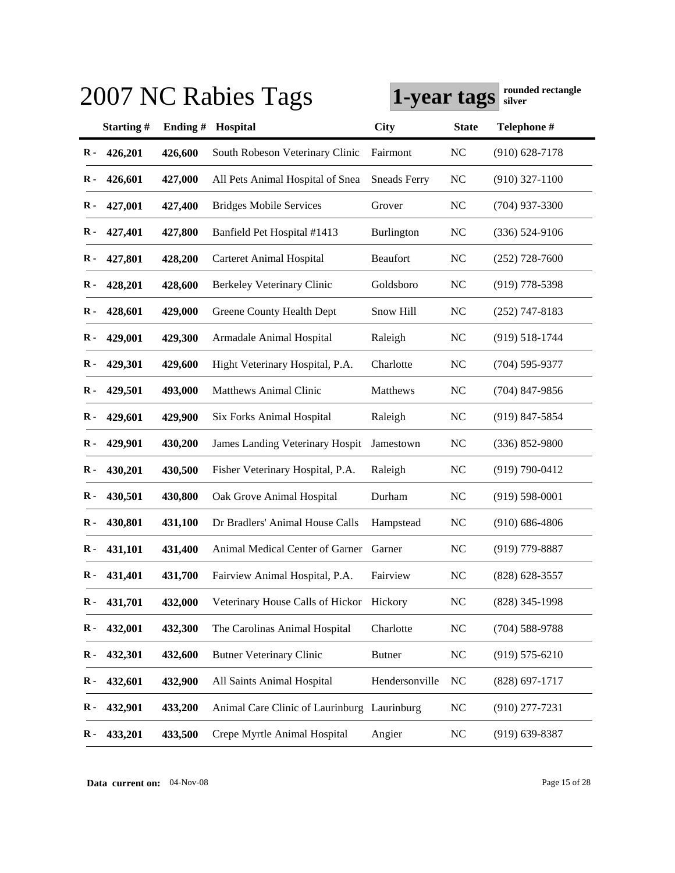|                |               |         | 2007 NC Rabies Tags                         | 1-year tags         |                | rounded rectangle<br>silver |
|----------------|---------------|---------|---------------------------------------------|---------------------|----------------|-----------------------------|
|                | Starting#     | Ending# | Hospital                                    | <b>City</b>         | <b>State</b>   | Telephone #                 |
| $\bf R$ -      | 426,201       | 426,600 | South Robeson Veterinary Clinic             | Fairmont            | NC             | $(910)$ 628-7178            |
| R -            | 426,601       | 427,000 | All Pets Animal Hospital of Snea            | <b>Sneads Ferry</b> | NC             | $(910)$ 327-1100            |
| R -            | 427,001       | 427,400 | <b>Bridges Mobile Services</b>              | Grover              | NC             | $(704)$ 937-3300            |
| R -            | 427,401       | 427,800 | Banfield Pet Hospital #1413                 | <b>Burlington</b>   | N <sub>C</sub> | $(336) 524-9106$            |
| R -            | 427,801       | 428,200 | <b>Carteret Animal Hospital</b>             | <b>Beaufort</b>     | <b>NC</b>      | $(252)$ 728-7600            |
| R -            | 428,201       | 428,600 | <b>Berkeley Veterinary Clinic</b>           | Goldsboro           | <b>NC</b>      | $(919)$ 778-5398            |
| $\bf R$ -      | 428,601       | 429,000 | Greene County Health Dept                   | Snow Hill           | N <sub>C</sub> | $(252)$ 747-8183            |
| R -            | 429,001       | 429,300 | Armadale Animal Hospital                    | Raleigh             | <b>NC</b>      | $(919) 518 - 1744$          |
| R -            | 429,301       | 429,600 | Hight Veterinary Hospital, P.A.             | Charlotte           | N <sub>C</sub> | $(704)$ 595-9377            |
| R -            | 429,501       | 493,000 | Matthews Animal Clinic                      | Matthews            | N <sub>C</sub> | $(704)$ 847-9856            |
| R -            | 429,601       | 429,900 | Six Forks Animal Hospital                   | Raleigh             | <b>NC</b>      | $(919)$ 847-5854            |
| R -            | 429,901       | 430,200 | <b>James Landing Veterinary Hospit</b>      | Jamestown           | N <sub>C</sub> | $(336) 852 - 9800$          |
| R -            | 430,201       | 430,500 | Fisher Veterinary Hospital, P.A.            | Raleigh             | <b>NC</b>      | $(919) 790 - 0412$          |
| R -            | 430,501       | 430,800 | Oak Grove Animal Hospital                   | Durham              | <b>NC</b>      | $(919) 598 - 0001$          |
| R -            | 430,801       | 431,100 | Dr Bradlers' Animal House Calls             | Hampstead           | <b>NC</b>      | $(910)$ 686-4806            |
| R -            | 431,101       | 431,400 | Animal Medical Center of Garner             | Garner              | NC             | $(919)$ 779-8887            |
|                | $R - 431,401$ | 431,700 | Fairview Animal Hospital, P.A.              | Fairview            | NC             | $(828)$ 628-3557            |
| $\mathbf R$ -  | 431,701       | 432,000 | Veterinary House Calls of Hickor Hickory    |                     | <b>NC</b>      | $(828)$ 345-1998            |
| $\mathbf R$ -  | 432,001       | 432,300 | The Carolinas Animal Hospital               | Charlotte           | NC             | $(704) 588 - 9788$          |
| $\bf R$ -      | 432,301       | 432,600 | <b>Butner Veterinary Clinic</b>             | <b>Butner</b>       | NC             | $(919) 575 - 6210$          |
| R -            | 432,601       | 432,900 | All Saints Animal Hospital                  | Hendersonville      | $NC$           | $(828) 697 - 1717$          |
| R -            | 432,901       | 433,200 | Animal Care Clinic of Laurinburg Laurinburg |                     | NC             | $(910)$ 277-7231            |
| $\mathbf{R}$ . | 433,201       | 433,500 | Crepe Myrtle Animal Hospital                | Angier              | NC             | $(919) 639 - 8387$          |

**Data current on:** 04-Nov-08 Page 15 of 28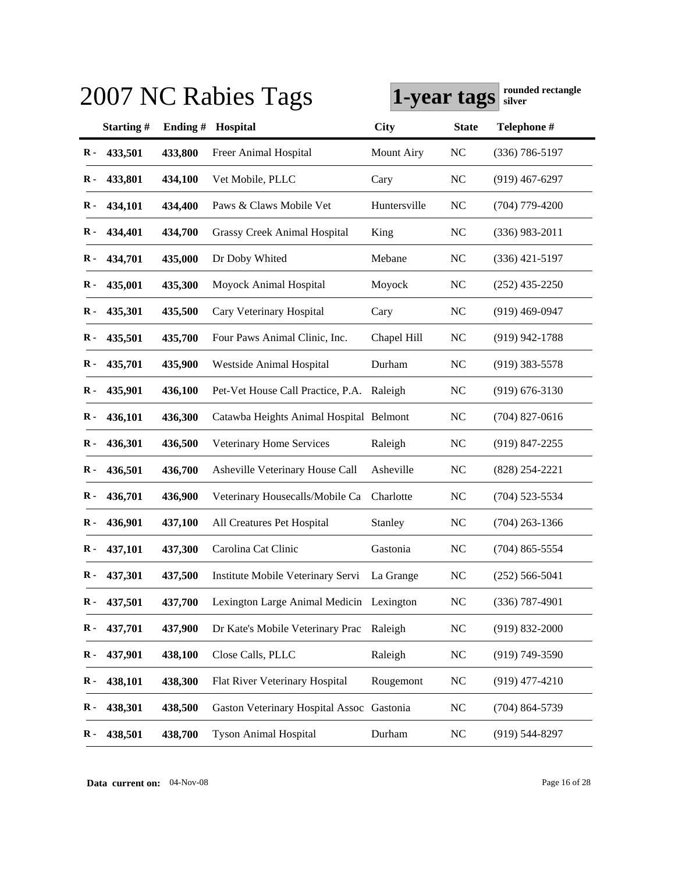|                | rounded rectangle<br>2007 NC Rabies Tags<br>1-year tags<br>silver |         |                                             |                   |                |                    |  |  |  |
|----------------|-------------------------------------------------------------------|---------|---------------------------------------------|-------------------|----------------|--------------------|--|--|--|
|                | Starting#                                                         | Ending# | Hospital                                    | <b>City</b>       | <b>State</b>   | Telephone #        |  |  |  |
| $\bf R$ -      | 433,501                                                           | 433,800 | Freer Animal Hospital                       | <b>Mount Airy</b> | <b>NC</b>      | $(336) 786 - 5197$ |  |  |  |
| R -            | 433,801                                                           | 434,100 | Vet Mobile, PLLC                            | Cary              | N <sub>C</sub> | $(919)$ 467-6297   |  |  |  |
| R -            | 434,101                                                           | 434,400 | Paws & Claws Mobile Vet                     | Huntersville      | N <sub>C</sub> | $(704)$ 779-4200   |  |  |  |
| R -            | 434,401                                                           | 434,700 | <b>Grassy Creek Animal Hospital</b>         | King              | N <sub>C</sub> | $(336)$ 983-2011   |  |  |  |
| R -            | 434,701                                                           | 435,000 | Dr Doby Whited                              | Mebane            | N <sub>C</sub> | $(336)$ 421-5197   |  |  |  |
| $\bf R$ -      | 435,001                                                           | 435,300 | Moyock Animal Hospital                      | Moyock            | <b>NC</b>      | $(252)$ 435-2250   |  |  |  |
| $\bf R$ -      | 435,301                                                           | 435,500 | Cary Veterinary Hospital                    | Cary              | N <sub>C</sub> | $(919)$ 469-0947   |  |  |  |
| $\bf R$ -      | 435,501                                                           | 435,700 | Four Paws Animal Clinic, Inc.               | Chapel Hill       | <b>NC</b>      | $(919)$ 942-1788   |  |  |  |
| $\bf R$ -      | 435,701                                                           | 435,900 | Westside Animal Hospital                    | Durham            | <b>NC</b>      | $(919)$ 383-5578   |  |  |  |
| R -            | 435,901                                                           | 436,100 | Pet-Vet House Call Practice, P.A.           | Raleigh           | <b>NC</b>      | $(919) 676 - 3130$ |  |  |  |
| $\bf R$ -      | 436,101                                                           | 436,300 | Catawba Heights Animal Hospital Belmont     |                   | NC             | $(704)$ 827-0616   |  |  |  |
| R -            | 436,301                                                           | 436,500 | Veterinary Home Services                    | Raleigh           | <b>NC</b>      | $(919)$ 847-2255   |  |  |  |
| R -            | 436,501                                                           | 436,700 | Asheville Veterinary House Call             | Asheville         | <b>NC</b>      | $(828)$ 254-2221   |  |  |  |
| R -            | 436,701                                                           | 436,900 | Veterinary Housecalls/Mobile Ca             | Charlotte         | NC             | $(704)$ 523-5534   |  |  |  |
| R -            | 436,901                                                           | 437,100 | All Creatures Pet Hospital                  | Stanley           | NC             | $(704)$ 263-1366   |  |  |  |
| R -            | 437,101                                                           | 437,300 | Carolina Cat Clinic                         | Gastonia          | N <sub>C</sub> | $(704)$ 865-5554   |  |  |  |
|                | R- 437,301                                                        | 437,500 | Institute Mobile Veterinary Servi La Grange |                   | N <sub>C</sub> | $(252)$ 566-5041   |  |  |  |
| $\mathbf R$ -  | 437,501                                                           | 437,700 | Lexington Large Animal Medicin Lexington    |                   | <b>NC</b>      | $(336)$ 787-4901   |  |  |  |
| $\bf R$ -      | 437,701                                                           | 437,900 | Dr Kate's Mobile Veterinary Prac            | Raleigh           | <b>NC</b>      | $(919) 832 - 2000$ |  |  |  |
| $\bf R$ -      | 437,901                                                           | 438,100 | Close Calls, PLLC                           | Raleigh           | <b>NC</b>      | $(919) 749 - 3590$ |  |  |  |
| $\bf R$ -      | 438,101                                                           | 438,300 | Flat River Veterinary Hospital              | Rougemont         | <b>NC</b>      | $(919)$ 477-4210   |  |  |  |
| $\bf R$ -      | 438,301                                                           | 438,500 | Gaston Veterinary Hospital Assoc Gastonia   |                   | <b>NC</b>      | $(704) 864 - 5739$ |  |  |  |
| $\mathbf{R}$ . | 438,501                                                           | 438,700 | <b>Tyson Animal Hospital</b>                | Durham            | <b>NC</b>      | $(919) 544 - 8297$ |  |  |  |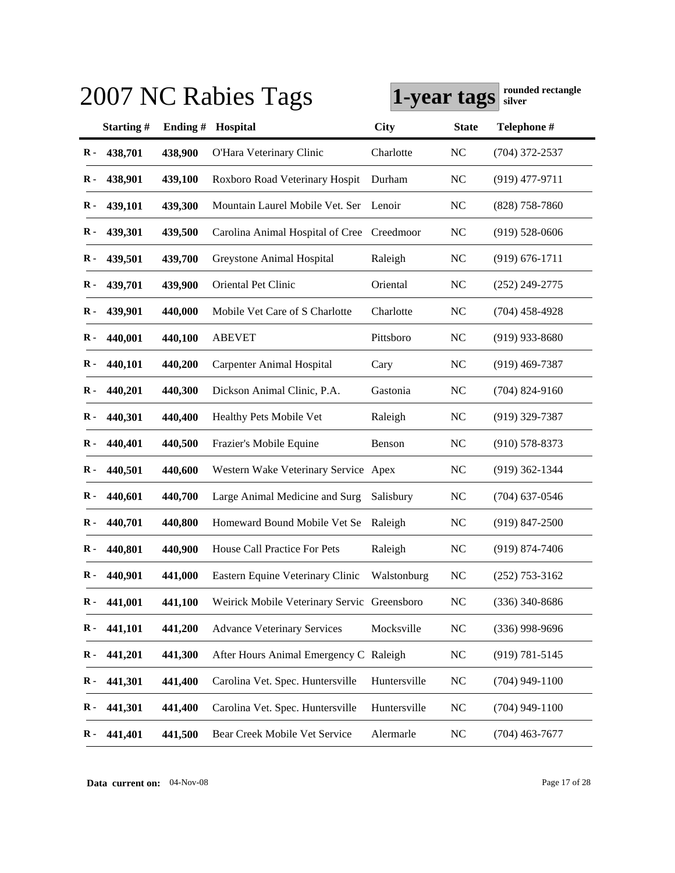|                |           |         | 2007 NC Rabies Tags                         | 1-year tags  |                | rounded rectangle<br>silver |
|----------------|-----------|---------|---------------------------------------------|--------------|----------------|-----------------------------|
|                | Starting# | Ending# | Hospital                                    | <b>City</b>  | <b>State</b>   | Telephone #                 |
| $\bf R$ -      | 438,701   | 438,900 | O'Hara Veterinary Clinic                    | Charlotte    | N <sub>C</sub> | $(704)$ 372-2537            |
| R -            | 438,901   | 439,100 | Roxboro Road Veterinary Hospit              | Durham       | NC             | $(919)$ 477-9711            |
| R -            | 439,101   | 439,300 | Mountain Laurel Mobile Vet. Ser             | Lenoir       | NC             | $(828)$ 758-7860            |
| R -            | 439,301   | 439,500 | Carolina Animal Hospital of Cree            | Creedmoor    | NC             | $(919) 528 - 0606$          |
| R -            | 439,501   | 439,700 | Greystone Animal Hospital                   | Raleigh      | N <sub>C</sub> | $(919) 676 - 1711$          |
| R -            | 439,701   | 439,900 | Oriental Pet Clinic                         | Oriental     | NC             | $(252)$ 249-2775            |
| $\bf R$ -      | 439,901   | 440,000 | Mobile Vet Care of S Charlotte              | Charlotte    | NC             | $(704)$ 458-4928            |
| $\bf R$ -      | 440,001   | 440,100 | <b>ABEVET</b>                               | Pittsboro    | NC             | $(919)$ 933-8680            |
| R -            | 440,101   | 440,200 | <b>Carpenter Animal Hospital</b>            | Cary         | NC             | $(919)$ 469-7387            |
| R -            | 440,201   | 440,300 | Dickson Animal Clinic, P.A.                 | Gastonia     | NC             | $(704)$ 824-9160            |
| R -            | 440,301   | 440,400 | Healthy Pets Mobile Vet                     | Raleigh      | N <sub>C</sub> | $(919)$ 329-7387            |
| R -            | 440,401   | 440,500 | Frazier's Mobile Equine                     | Benson       | NC             | $(910)$ 578-8373            |
| R -            | 440,501   | 440,600 | Western Wake Veterinary Service Apex        |              | N <sub>C</sub> | $(919)$ 362-1344            |
| R -            | 440,601   | 440,700 | Large Animal Medicine and Surg              | Salisbury    | N <sub>C</sub> | $(704)$ 637-0546            |
| R -            | 440,701   | 440,800 | Homeward Bound Mobile Vet Se                | Raleigh      | NC             | $(919)$ 847-2500            |
| R -            | 440,801   | 440,900 | House Call Practice For Pets                | Raleigh      | <b>NC</b>      | $(919) 874 - 7406$          |
| $\bf R -$      | 440,901   | 441,000 | Eastern Equine Veterinary Clinic            | Walstonburg  | NC             | $(252)$ 753-3162            |
| $\mathbf{R}$ . | 441,001   | 441,100 | Weirick Mobile Veterinary Servic Greensboro |              | NC             | (336) 340-8686              |
| $\bf R$ -      | 441,101   | 441,200 | <b>Advance Veterinary Services</b>          | Mocksville   | NC             | $(336)$ 998-9696            |
| $\mathbf R$ -  | 441,201   | 441,300 | After Hours Animal Emergency C Raleigh      |              | NC             | $(919) 781 - 5145$          |
| $\bf R$ -      | 441,301   | 441,400 | Carolina Vet. Spec. Huntersville            | Huntersville | NC             | $(704)$ 949-1100            |
| $\bf R$ -      | 441,301   | 441,400 | Carolina Vet. Spec. Huntersville            | Huntersville | NC             | $(704)$ 949-1100            |
| $\mathbf{R}$   | 441,401   | 441,500 | Bear Creek Mobile Vet Service               | Alermarle    | NC             | $(704)$ 463-7677            |

**Data current on:** 04-Nov-08 Page 17 of 28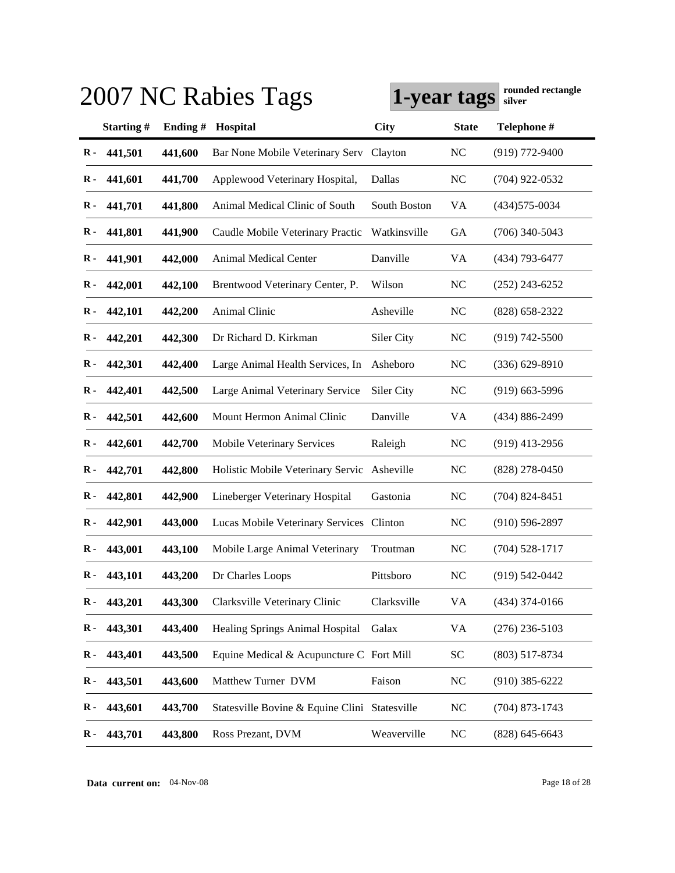|                | rounded rectangle<br>2007 NC Rabies Tags<br>1-year tags<br>silver |         |                                               |              |              |                    |  |  |  |
|----------------|-------------------------------------------------------------------|---------|-----------------------------------------------|--------------|--------------|--------------------|--|--|--|
|                | <b>Starting#</b>                                                  | Ending# | Hospital                                      | <b>City</b>  | <b>State</b> | Telephone #        |  |  |  |
| $\bf R -$      | 441,501                                                           | 441,600 | Bar None Mobile Veterinary Serv               | Clayton      | NC           | $(919)$ 772-9400   |  |  |  |
| R -            | 441,601                                                           | 441,700 | Applewood Veterinary Hospital,                | Dallas       | NC           | $(704)$ 922-0532   |  |  |  |
| R -            | 441,701                                                           | 441,800 | Animal Medical Clinic of South                | South Boston | VA           | $(434)575 - 0034$  |  |  |  |
| $\mathbf{R}$ - | 441,801                                                           | 441,900 | Caudle Mobile Veterinary Practic              | Watkinsville | <b>GA</b>    | $(706)$ 340-5043   |  |  |  |
| R -            | 441,901                                                           | 442,000 | <b>Animal Medical Center</b>                  | Danville     | VA           | (434) 793-6477     |  |  |  |
| R -            | 442,001                                                           | 442,100 | Brentwood Veterinary Center, P.               | Wilson       | <b>NC</b>    | $(252)$ 243-6252   |  |  |  |
| R -            | 442,101                                                           | 442,200 | Animal Clinic                                 | Asheville    | NC           | $(828)$ 658-2322   |  |  |  |
| R -            | 442,201                                                           | 442,300 | Dr Richard D. Kirkman                         | Siler City   | NC           | $(919) 742 - 5500$ |  |  |  |
| R -            | 442,301                                                           | 442,400 | Large Animal Health Services, In              | Asheboro     | <b>NC</b>    | $(336) 629 - 8910$ |  |  |  |
| $\mathbf{R}$ - | 442,401                                                           | 442,500 | Large Animal Veterinary Service               | Siler City   | <b>NC</b>    | $(919)$ 663-5996   |  |  |  |
| $\mathbf{R}$ - | 442,501                                                           | 442,600 | Mount Hermon Animal Clinic                    | Danville     | VA           | $(434) 886 - 2499$ |  |  |  |
| R -            | 442,601                                                           | 442,700 | <b>Mobile Veterinary Services</b>             | Raleigh      | <b>NC</b>    | $(919)$ 413-2956   |  |  |  |
| R -            | 442,701                                                           | 442,800 | Holistic Mobile Veterinary Servic Asheville   |              | <b>NC</b>    | $(828)$ 278-0450   |  |  |  |
| R -            | 442,801                                                           | 442,900 | Lineberger Veterinary Hospital                | Gastonia     | <b>NC</b>    | $(704)$ 824-8451   |  |  |  |
| R -            | 442,901                                                           | 443,000 | Lucas Mobile Veterinary Services              | Clinton      | <b>NC</b>    | $(910) 596 - 2897$ |  |  |  |
| $\mathbf{R}$ - | 443,001                                                           | 443,100 | Mobile Large Animal Veterinary                | Troutman     | <b>NC</b>    | $(704)$ 528-1717   |  |  |  |
|                | $R - 443,101$                                                     | 443,200 | Dr Charles Loops                              | Pittsboro    | NC           | $(919)$ 542-0442   |  |  |  |
| $\mathbf R$ -  | 443,201                                                           | 443,300 | Clarksville Veterinary Clinic                 | Clarksville  | VA           | $(434)$ 374-0166   |  |  |  |
| $\mathbf R$ -  | 443,301                                                           | 443,400 | Healing Springs Animal Hospital               | Galax        | VA           | $(276)$ 236-5103   |  |  |  |
| $\bf R$ -      | 443,401                                                           | 443,500 | Equine Medical & Acupuncture C Fort Mill      |              | <b>SC</b>    | $(803)$ 517-8734   |  |  |  |
| $\bf R$ -      | 443,501                                                           | 443,600 | Matthew Turner DVM                            | Faison       | NC           | $(910)$ 385-6222   |  |  |  |
| R -            | 443,601                                                           | 443,700 | Statesville Bovine & Equine Clini Statesville |              | NC           | $(704)$ 873-1743   |  |  |  |
| $\mathbf{R}$ . | 443,701                                                           | 443,800 | Ross Prezant, DVM                             | Weaverville  | NC           | $(828) 645 - 6643$ |  |  |  |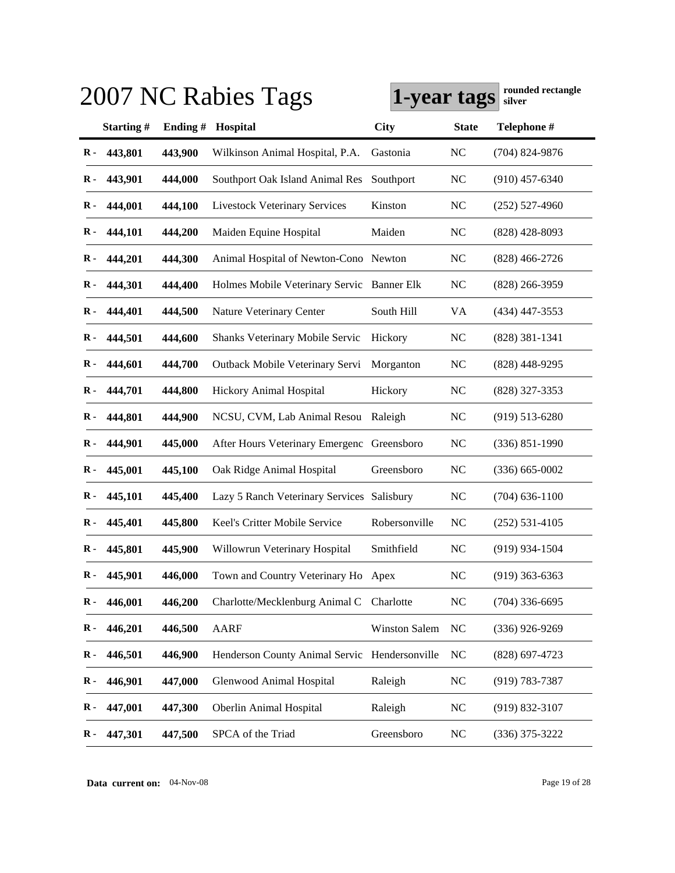|           |            |         | 2007 NC Rabies Tags                           | 1-year tags   |                | rounded rectangle<br>silver |
|-----------|------------|---------|-----------------------------------------------|---------------|----------------|-----------------------------|
|           | Starting#  | Ending# | Hospital                                      | <b>City</b>   | <b>State</b>   | Telephone #                 |
| $\bf R -$ | 443,801    | 443,900 | Wilkinson Animal Hospital, P.A.               | Gastonia      | <b>NC</b>      | $(704)$ 824-9876            |
| R -       | 443,901    | 444,000 | Southport Oak Island Animal Res               | Southport     | <b>NC</b>      | $(910)$ 457-6340            |
| R -       | 444,001    | 444,100 | <b>Livestock Veterinary Services</b>          | Kinston       | NC             | $(252)$ 527-4960            |
| R -       | 444,101    | 444,200 | Maiden Equine Hospital                        | Maiden        | NC             | $(828)$ 428-8093            |
| R -       | 444,201    | 444,300 | Animal Hospital of Newton-Cono Newton         |               | <b>NC</b>      | $(828)$ 466-2726            |
| R -       | 444,301    | 444,400 | Holmes Mobile Veterinary Servic Banner Elk    |               | NC             | $(828)$ 266-3959            |
| R -       | 444,401    | 444,500 | Nature Veterinary Center                      | South Hill    | VA             | $(434)$ 447-3553            |
| R -       | 444,501    | 444,600 | Shanks Veterinary Mobile Servic               | Hickory       | <b>NC</b>      | $(828)$ 381-1341            |
| R -       | 444,601    | 444,700 | Outback Mobile Veterinary Servi               | Morganton     | <b>NC</b>      | $(828)$ 448-9295            |
| R -       | 444,701    | 444,800 | Hickory Animal Hospital                       | Hickory       | <b>NC</b>      | $(828)$ 327-3353            |
| R -       | 444,801    | 444,900 | NCSU, CVM, Lab Animal Resou                   | Raleigh       | <b>NC</b>      | $(919)$ 513-6280            |
| R -       | 444,901    | 445,000 | After Hours Veterinary Emergenc               | Greensboro    | <b>NC</b>      | $(336) 851 - 1990$          |
| R -       | 445,001    | 445,100 | Oak Ridge Animal Hospital                     | Greensboro    | <b>NC</b>      | $(336) 665 - 0002$          |
| R -       | 445,101    | 445,400 | Lazy 5 Ranch Veterinary Services Salisbury    |               | <b>NC</b>      | $(704)$ 636-1100            |
| R -       | 445,401    | 445,800 | Keel's Critter Mobile Service                 | Robersonville | N <sub>C</sub> | $(252) 531 - 4105$          |
| R -       | 445,801    | 445,900 | Willowrun Veterinary Hospital                 | Smithfield    | <b>NC</b>      | $(919)$ 934-1504            |
|           | R- 445,901 | 446,000 | Town and Country Veterinary Ho Apex           |               | NC             | $(919)$ 363-6363            |
| R -       | 446,001    | 446,200 | Charlotte/Mecklenburg Animal C Charlotte      |               | NC             | $(704)$ 336-6695            |
| $\bf R$ - | 446,201    | 446,500 | AARF                                          | Winston Salem | $\rm NC$       | $(336)$ 926-9269            |
| $\bf R$ - | 446,501    | 446,900 | Henderson County Animal Servic Hendersonville |               | $\rm NC$       | $(828)$ 697-4723            |
| $\bf R$ - | 446,901    | 447,000 | Glenwood Animal Hospital                      | Raleigh       | $\rm NC$       | $(919) 783 - 7387$          |
| $\bf R$ - | 447,001    | 447,300 | Oberlin Animal Hospital                       | Raleigh       | NC             | $(919) 832 - 3107$          |
| $\bf R$ - | 447,301    | 447,500 | SPCA of the Triad                             | Greensboro    | $\rm NC$       | $(336)$ 375-3222            |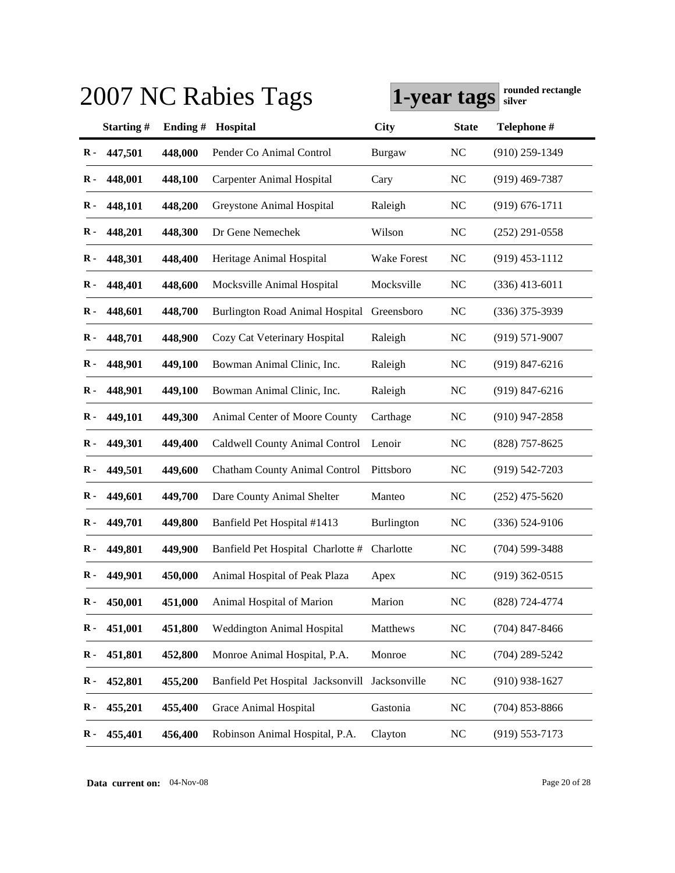|               |           |         | 2007 NC Rabies Tags                    | 1-year tags        |                | rounded rectangle<br>silver |
|---------------|-----------|---------|----------------------------------------|--------------------|----------------|-----------------------------|
|               | Starting# | Ending# | <b>Hospital</b>                        | <b>City</b>        | <b>State</b>   | Telephone #                 |
| $\bf R -$     | 447,501   | 448,000 | Pender Co Animal Control               | <b>Burgaw</b>      | N <sub>C</sub> | $(910)$ 259-1349            |
| R -           | 448,001   | 448,100 | <b>Carpenter Animal Hospital</b>       | Cary               | NC             | $(919)$ 469-7387            |
| $\bf R$ -     | 448,101   | 448,200 | Greystone Animal Hospital              | Raleigh            | NC             | $(919) 676 - 1711$          |
| R -           | 448,201   | 448,300 | Dr Gene Nemechek                       | Wilson             | NC             | $(252)$ 291-0558            |
| R -           | 448,301   | 448,400 | Heritage Animal Hospital               | <b>Wake Forest</b> | N <sub>C</sub> | $(919)$ 453-1112            |
| R -           | 448,401   | 448,600 | Mocksville Animal Hospital             | Mocksville         | <b>NC</b>      | $(336)$ 413-6011            |
| $\bf R$ -     | 448,601   | 448,700 | <b>Burlington Road Animal Hospital</b> | Greensboro         | N <sub>C</sub> | $(336)$ 375-3939            |
| $\bf R$ -     | 448,701   | 448,900 | Cozy Cat Veterinary Hospital           | Raleigh            | <b>NC</b>      | $(919) 571 - 9007$          |
| R -           | 448,901   | 449,100 | Bowman Animal Clinic, Inc.             | Raleigh            | NC             | $(919)$ 847-6216            |
| $\bf R$ -     | 448,901   | 449,100 | Bowman Animal Clinic, Inc.             | Raleigh            | NC             | $(919)$ 847-6216            |
| $\bf R$ -     | 449,101   | 449,300 | Animal Center of Moore County          | Carthage           | N <sub>C</sub> | $(910)$ 947-2858            |
| R -           | 449,301   | 449,400 | Caldwell County Animal Control         | Lenoir             | NC             | $(828)$ 757-8625            |
| R -           | 449,501   | 449,600 | Chatham County Animal Control          | Pittsboro          | <b>NC</b>      | $(919) 542 - 7203$          |
| R -           | 449,601   | 449,700 | Dare County Animal Shelter             | Manteo             | NC             | $(252)$ 475-5620            |
| R -           | 449,701   | 449,800 | Banfield Pet Hospital #1413            | <b>Burlington</b>  | NC             | $(336) 524-9106$            |
| R -           | 449,801   | 449,900 | Banfield Pet Hospital Charlotte #      | Charlotte          | NC             | $(704)$ 599-3488            |
| $\bf R -$     | 449,901   | 450,000 | Animal Hospital of Peak Plaza          | Apex               | NC             | $(919)$ 362-0515            |
| $\mathbf R$ - | 450,001   | 451,000 | Animal Hospital of Marion              | Marion             | NC             | (828) 724-4774              |
| $\bf R$ -     | 451,001   | 451,800 | <b>Weddington Animal Hospital</b>      | Matthews           | NC             | $(704)$ 847-8466            |
| $\bf R$ -     | 451,801   | 452,800 | Monroe Animal Hospital, P.A.           | Monroe             | NC             | $(704)$ 289-5242            |
| $\bf R$ -     | 452,801   | 455,200 | Banfield Pet Hospital Jacksonvill      | Jacksonville       | NC             | $(910)$ 938-1627            |
| R -           | 455,201   | 455,400 | Grace Animal Hospital                  | Gastonia           | NC             | $(704)$ 853-8866            |
| $\mathbf{R}$  | 455,401   | 456,400 | Robinson Animal Hospital, P.A.         | Clayton            | NC             | $(919) 553 - 7173$          |

**Data current on:** 04-Nov-08 Page 20 of 28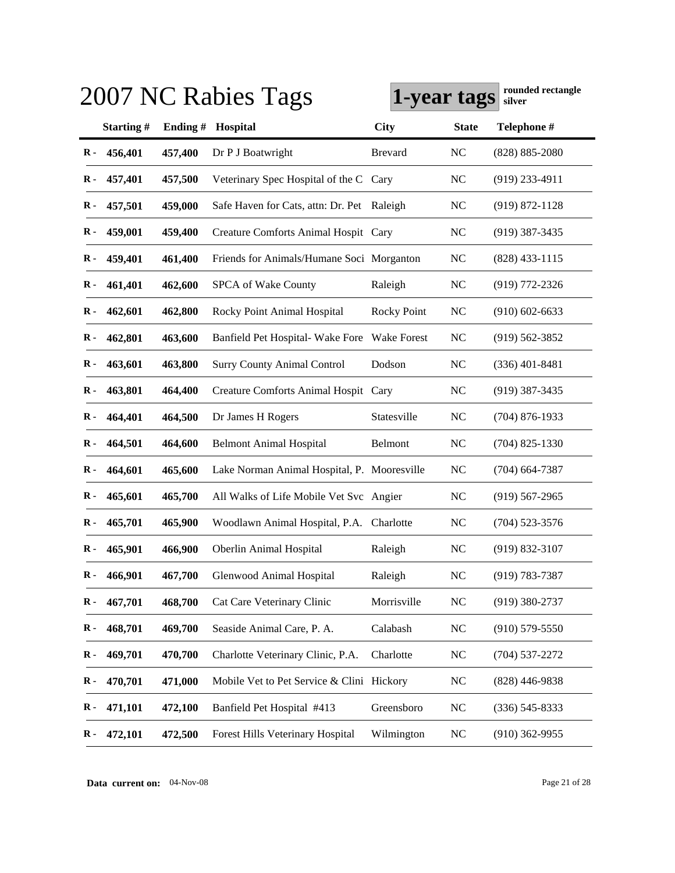|               | rounded rectangle<br>2007 NC Rabies Tags<br>1-year tags<br>silver |         |                                             |                    |                |                    |  |  |  |
|---------------|-------------------------------------------------------------------|---------|---------------------------------------------|--------------------|----------------|--------------------|--|--|--|
|               | Starting#                                                         | Ending# | Hospital                                    | <b>City</b>        | <b>State</b>   | Telephone #        |  |  |  |
| $\bf R -$     | 456,401                                                           | 457,400 | Dr P J Boatwright                           | <b>Brevard</b>     | NC             | $(828) 885 - 2080$ |  |  |  |
| R -           | 457,401                                                           | 457,500 | Veterinary Spec Hospital of the C           | Cary               | NC             | $(919)$ 233-4911   |  |  |  |
| $\bf R$ -     | 457,501                                                           | 459,000 | Safe Haven for Cats, attn: Dr. Pet Raleigh  |                    | NC             | $(919) 872 - 1128$ |  |  |  |
| R -           | 459,001                                                           | 459,400 | Creature Comforts Animal Hospit Cary        |                    | NC             | $(919)$ 387-3435   |  |  |  |
| R -           | 459,401                                                           | 461,400 | Friends for Animals/Humane Soci Morganton   |                    | NC             | $(828)$ 433-1115   |  |  |  |
| $\bf R$ -     | 461,401                                                           | 462,600 | SPCA of Wake County                         | Raleigh            | <b>NC</b>      | $(919)$ 772-2326   |  |  |  |
| $\bf R$ -     | 462,601                                                           | 462,800 | Rocky Point Animal Hospital                 | <b>Rocky Point</b> | <b>NC</b>      | $(910)$ 602-6633   |  |  |  |
| $\bf R$ -     | 462,801                                                           | 463,600 | Banfield Pet Hospital- Wake Fore            | Wake Forest        | <b>NC</b>      | $(919) 562 - 3852$ |  |  |  |
| $\bf R$ -     | 463,601                                                           | 463,800 | <b>Surry County Animal Control</b>          | Dodson             | <b>NC</b>      | $(336)$ 401-8481   |  |  |  |
| $\bf R$ -     | 463,801                                                           | 464,400 | Creature Comforts Animal Hospit Cary        |                    | <b>NC</b>      | $(919)$ 387-3435   |  |  |  |
| R -           | 464,401                                                           | 464,500 | Dr James H Rogers                           | Statesville        | <b>NC</b>      | $(704)$ 876-1933   |  |  |  |
| R -           | 464,501                                                           | 464,600 | <b>Belmont Animal Hospital</b>              | Belmont            | <b>NC</b>      | $(704)$ 825-1330   |  |  |  |
| R -           | 464,601                                                           | 465,600 | Lake Norman Animal Hospital, P. Mooresville |                    | <b>NC</b>      | $(704)$ 664-7387   |  |  |  |
| R -           | 465,601                                                           | 465,700 | All Walks of Life Mobile Vet Svc Angier     |                    | NC             | $(919)$ 567-2965   |  |  |  |
| R -           | 465,701                                                           | 465,900 | Woodlawn Animal Hospital, P.A. Charlotte    |                    | <b>NC</b>      | $(704)$ 523-3576   |  |  |  |
| R -           | 465,901                                                           | 466,900 | Oberlin Animal Hospital                     | Raleigh            | N <sub>C</sub> | $(919) 832 - 3107$ |  |  |  |
|               | R- 466,901                                                        | 467,700 | Glenwood Animal Hospital                    | Raleigh            | NC             | $(919) 783 - 7387$ |  |  |  |
| $\mathbf R$ - | 467,701                                                           | 468,700 | Cat Care Veterinary Clinic                  | Morrisville        | <b>NC</b>      | $(919)$ 380-2737   |  |  |  |
| $\mathbf R$ - | 468,701                                                           | 469,700 | Seaside Animal Care, P. A.                  | Calabash           | NC             | $(910) 579 - 5550$ |  |  |  |
| $\bf R$ -     | 469,701                                                           | 470,700 | Charlotte Veterinary Clinic, P.A.           | Charlotte          | NC             | $(704)$ 537-2272   |  |  |  |
| $\bf R$ -     | 470,701                                                           | 471,000 | Mobile Vet to Pet Service & Clini Hickory   |                    | NC             | $(828)$ 446-9838   |  |  |  |
| $\bf R$ -     | 471,101                                                           | 472,100 | Banfield Pet Hospital #413                  | Greensboro         | NC             | $(336) 545 - 8333$ |  |  |  |
| $\bf R$ -     | 472,101                                                           | 472,500 | Forest Hills Veterinary Hospital            | Wilmington         | NC             | $(910)$ 362-9955   |  |  |  |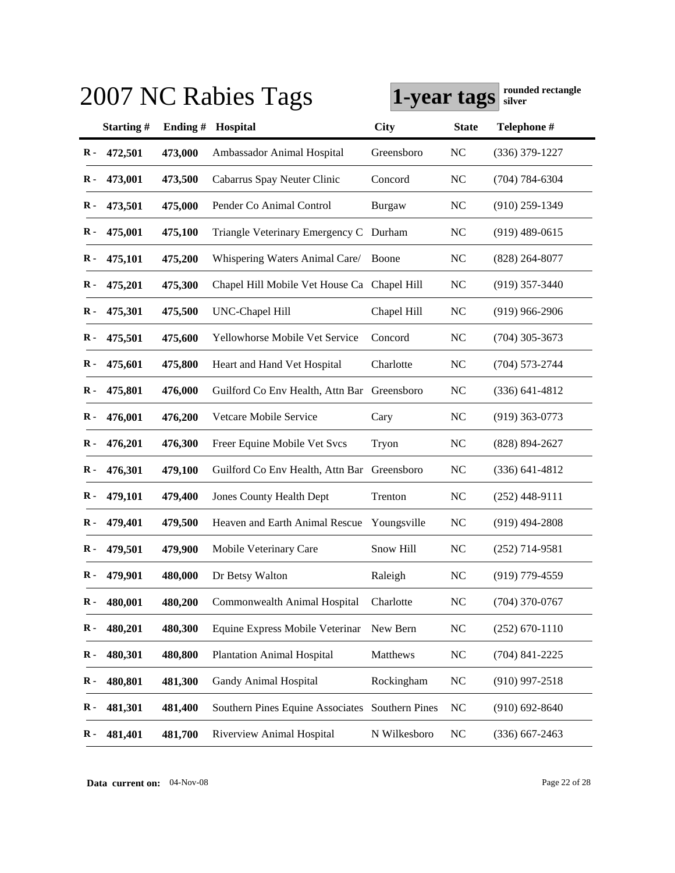|               |           |         | 2007 NC Rabies Tags                         | 1-year tags           |                | rounded rectangle<br>silver |
|---------------|-----------|---------|---------------------------------------------|-----------------------|----------------|-----------------------------|
|               | Starting# | Ending# | <b>Hospital</b>                             | <b>City</b>           | <b>State</b>   | Telephone #                 |
| $\bf R -$     | 472,501   | 473,000 | Ambassador Animal Hospital                  | Greensboro            | N <sub>C</sub> | $(336)$ 379-1227            |
| R -           | 473,001   | 473,500 | Cabarrus Spay Neuter Clinic                 | Concord               | NC             | $(704) 784 - 6304$          |
| R -           | 473,501   | 475,000 | Pender Co Animal Control                    | Burgaw                | NC             | $(910)$ 259-1349            |
| R -           | 475,001   | 475,100 | Triangle Veterinary Emergency C Durham      |                       | NC             | $(919)$ 489-0615            |
| R -           | 475,101   | 475,200 | Whispering Waters Animal Care/              | Boone                 | NC             | $(828)$ 264-8077            |
| R -           | 475,201   | 475,300 | Chapel Hill Mobile Vet House Ca Chapel Hill |                       | NC             | $(919)$ 357-3440            |
| $\bf R$ -     | 475,301   | 475,500 | UNC-Chapel Hill                             | Chapel Hill           | <b>NC</b>      | $(919)$ 966-2906            |
| $\bf R$ -     | 475,501   | 475,600 | Yellowhorse Mobile Vet Service              | Concord               | N <sub>C</sub> | $(704)$ 305-3673            |
| R -           | 475,601   | 475,800 | Heart and Hand Vet Hospital                 | Charlotte             | NC             | $(704)$ 573-2744            |
| R -           | 475,801   | 476,000 | Guilford Co Env Health, Attn Bar            | Greensboro            | <b>NC</b>      | $(336)$ 641-4812            |
| $\bf R$ -     | 476,001   | 476,200 | Vetcare Mobile Service                      | Cary                  | NC             | $(919)$ 363-0773            |
| R -           | 476,201   | 476,300 | Freer Equine Mobile Vet Svcs                | Tryon                 | NC             | $(828) 894 - 2627$          |
| R -           | 476,301   | 479,100 | Guilford Co Env Health, Attn Bar            | Greensboro            | <b>NC</b>      | $(336)$ 641-4812            |
| R -           | 479,101   | 479,400 | <b>Jones County Health Dept</b>             | Trenton               | N <sub>C</sub> | $(252)$ 448-9111            |
| R -           | 479,401   | 479,500 | Heaven and Earth Animal Rescue              | Youngsville           | NC             | $(919)$ 494-2808            |
| R -           | 479,501   | 479,900 | Mobile Veterinary Care                      | Snow Hill             | NC             | $(252)$ 714-9581            |
| $\bf R -$     | 479,901   | 480,000 | Dr Betsy Walton                             | Raleigh               | NC             | $(919)$ 779-4559            |
| $\mathbf R$ - | 480,001   | 480,200 | Commonwealth Animal Hospital                | Charlotte             | NC             | $(704)$ 370-0767            |
| $\bf R$ -     | 480,201   | 480,300 | Equine Express Mobile Veterinar             | New Bern              | NC             | $(252)$ 670-1110            |
| $\bf R$ -     | 480,301   | 480,800 | <b>Plantation Animal Hospital</b>           | Matthews              | NC             | $(704)$ 841-2225            |
| $\bf R$ -     | 480,801   | 481,300 | Gandy Animal Hospital                       | Rockingham            | NC             | $(910)$ 997-2518            |
| R -           | 481,301   | 481,400 | Southern Pines Equine Associates            | <b>Southern Pines</b> | NC             | $(910) 692 - 8640$          |
| $\bf R$ -     | 481,401   | 481,700 | Riverview Animal Hospital                   | N Wilkesboro          | NC             | $(336)$ 667-2463            |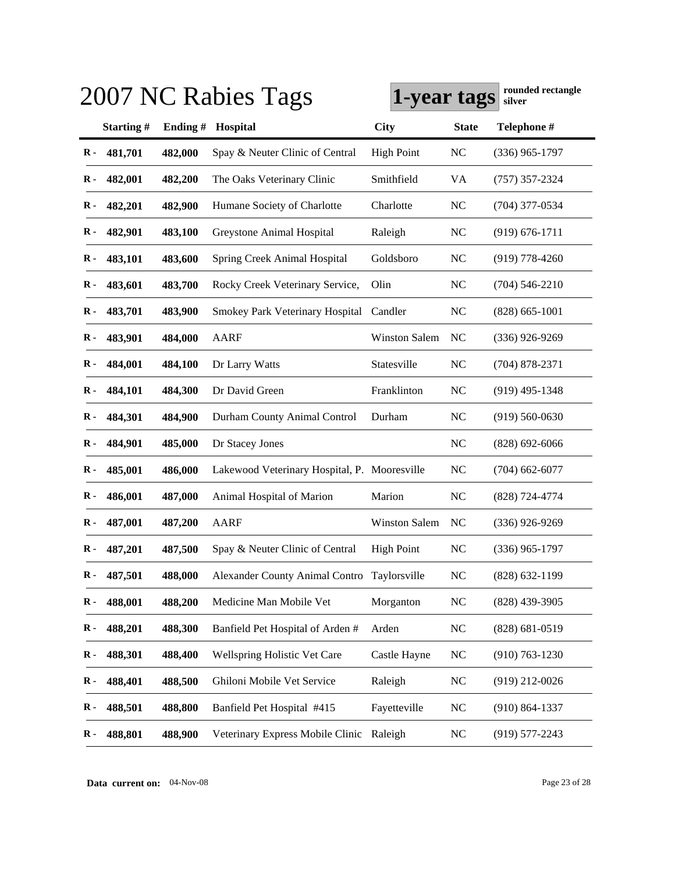|               |           |            | 2007 NC Rabies Tags                          | 1-year tags          |                | rounded rectangle<br>silver |
|---------------|-----------|------------|----------------------------------------------|----------------------|----------------|-----------------------------|
|               | Starting# | Ending $#$ | Hospital                                     | <b>City</b>          | <b>State</b>   | Telephone #                 |
| $\bf R$ -     | 481,701   | 482,000    | Spay & Neuter Clinic of Central              | <b>High Point</b>    | <b>NC</b>      | $(336)$ 965-1797            |
| R -           | 482,001   | 482,200    | The Oaks Veterinary Clinic                   | Smithfield           | VA             | $(757)$ 357-2324            |
| R -           | 482,201   | 482,900    | Humane Society of Charlotte                  | Charlotte            | NC             | $(704)$ 377-0534            |
| R -           | 482,901   | 483,100    | Greystone Animal Hospital                    | Raleigh              | NC             | $(919) 676 - 1711$          |
| $\bf R$ -     | 483,101   | 483,600    | <b>Spring Creek Animal Hospital</b>          | Goldsboro            | NC             | $(919)$ 778-4260            |
| R -           | 483,601   | 483,700    | Rocky Creek Veterinary Service,              | Olin                 | NC             | $(704)$ 546-2210            |
| $\bf R$ -     | 483,701   | 483,900    | Smokey Park Veterinary Hospital              | Candler              | N <sub>C</sub> | $(828)$ 665-1001            |
| $\bf R$ -     | 483,901   | 484,000    | AARF                                         | <b>Winston Salem</b> | NC             | $(336)$ 926-9269            |
| R -           | 484,001   | 484,100    | Dr Larry Watts                               | Statesville          | N <sub>C</sub> | $(704)$ 878-2371            |
| $\bf R$ -     | 484,101   | 484,300    | Dr David Green                               | Franklinton          | NC             | $(919)$ 495-1348            |
| $\bf R$ -     | 484,301   | 484,900    | Durham County Animal Control                 | Durham               | NC             | $(919) 560 - 0630$          |
| R -           | 484,901   | 485,000    | Dr Stacey Jones                              |                      | NC             | $(828)$ 692-6066            |
| R -           | 485,001   | 486,000    | Lakewood Veterinary Hospital, P. Mooresville |                      | NC             | $(704)$ 662-6077            |
| R -           | 486,001   | 487,000    | Animal Hospital of Marion                    | Marion               | N <sub>C</sub> | (828) 724-4774              |
| R -           | 487,001   | 487,200    | <b>AARF</b>                                  | <b>Winston Salem</b> | NC             | $(336)$ 926-9269            |
| R -           | 487,201   | 487,500    | Spay & Neuter Clinic of Central              | <b>High Point</b>    | <b>NC</b>      | $(336)$ 965-1797            |
| R-            | 487,501   | 488,000    | Alexander County Animal Contro Taylorsville  |                      | NC             | $(828)$ 632-1199            |
| $\mathbf R$ - | 488,001   | 488,200    | Medicine Man Mobile Vet                      | Morganton            | NC             | (828) 439-3905              |
| $\bf R$ -     | 488,201   | 488,300    | Banfield Pet Hospital of Arden #             | Arden                | NC             | $(828) 681 - 0519$          |
| $\bf R$ -     | 488,301   | 488,400    | Wellspring Holistic Vet Care                 | Castle Hayne         | NC             | $(910) 763 - 1230$          |
| $\bf R$ -     | 488,401   | 488,500    | Ghiloni Mobile Vet Service                   | Raleigh              | NC             | $(919)$ 212-0026            |
| R -           | 488,501   | 488,800    | Banfield Pet Hospital #415                   | Fayetteville         | NC             | $(910) 864 - 1337$          |
| $\bf R$ -     | 488,801   | 488,900    | Veterinary Express Mobile Clinic Raleigh     |                      | NC             | $(919) 577 - 2243$          |

**Data current on:** 04-Nov-08 Page 23 of 28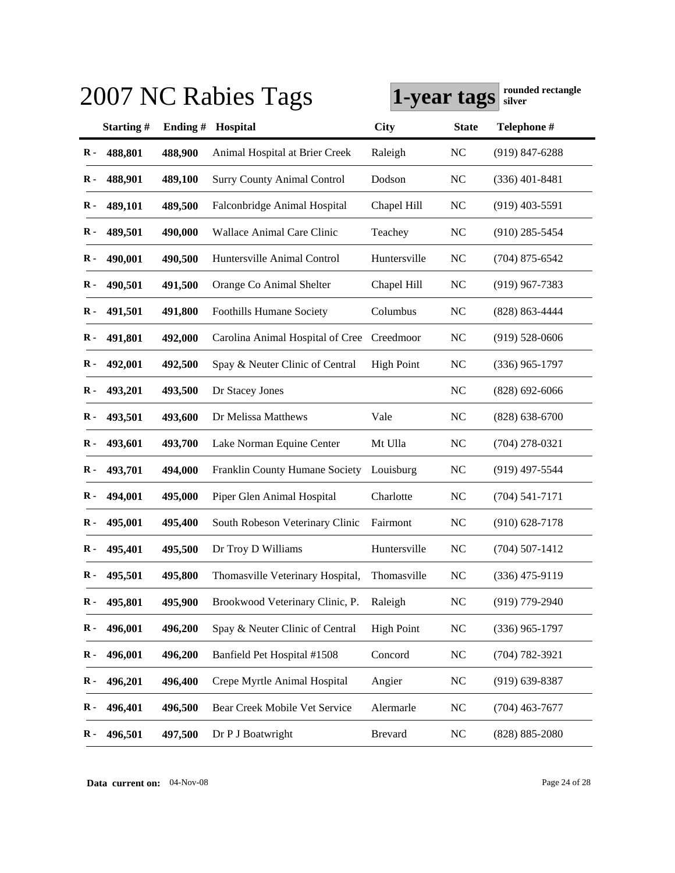|                |           |         | 2007 NC Rabies Tags                | 1-year tags       |              | rounded rectangle<br>silver |
|----------------|-----------|---------|------------------------------------|-------------------|--------------|-----------------------------|
|                | Starting# | Ending# | <b>Hospital</b>                    | <b>City</b>       | <b>State</b> | Telephone #                 |
| $\bf R$ -      | 488,801   | 488,900 | Animal Hospital at Brier Creek     | Raleigh           | <b>NC</b>    | $(919)$ 847-6288            |
| R -            | 488,901   | 489,100 | <b>Surry County Animal Control</b> | Dodson            | NC           | $(336)$ 401-8481            |
| R -            | 489,101   | 489,500 | Falconbridge Animal Hospital       | Chapel Hill       | NC           | $(919)$ 403-5591            |
| R -            | 489,501   | 490,000 | Wallace Animal Care Clinic         | Teachey           | <b>NC</b>    | $(910)$ 285-5454            |
| R -            | 490,001   | 490,500 | Huntersville Animal Control        | Huntersville      | <b>NC</b>    | $(704)$ 875-6542            |
| R -            | 490,501   | 491,500 | Orange Co Animal Shelter           | Chapel Hill       | NC           | $(919)$ 967-7383            |
| $\bf R$ -      | 491,501   | 491,800 | <b>Foothills Humane Society</b>    | Columbus          | <b>NC</b>    | $(828) 863 - 4444$          |
| $\bf R$ -      | 491,801   | 492,000 | Carolina Animal Hospital of Cree   | Creedmoor         | <b>NC</b>    | $(919) 528 - 0606$          |
| R -            | 492,001   | 492,500 | Spay & Neuter Clinic of Central    | <b>High Point</b> | <b>NC</b>    | $(336)$ 965-1797            |
| R -            | 493,201   | 493,500 | Dr Stacey Jones                    |                   | NC           | $(828)$ 692-6066            |
| R -            | 493,501   | 493,600 | Dr Melissa Matthews                | Vale              | <b>NC</b>    | $(828) 638 - 6700$          |
| R -            | 493,601   | 493,700 | Lake Norman Equine Center          | Mt Ulla           | <b>NC</b>    | $(704)$ 278-0321            |
| R -            | 493,701   | 494,000 | Franklin County Humane Society     | Louisburg         | <b>NC</b>    | $(919)$ 497-5544            |
| R -            | 494,001   | 495,000 | Piper Glen Animal Hospital         | Charlotte         | <b>NC</b>    | $(704) 541 - 7171$          |
| R -            | 495,001   | 495,400 | South Robeson Veterinary Clinic    | Fairmont          | NC           | $(910)$ 628-7178            |
| R -            | 495,401   | 495,500 | Dr Troy D Williams                 | Huntersville      | <b>NC</b>    | $(704)$ 507-1412            |
| $\bf R -$      | 495,501   | 495,800 | Thomasville Veterinary Hospital,   | Thomasville       | NC           | $(336)$ 475-9119            |
| $\mathbf{R}$ . | 495,801   | 495,900 | Brookwood Veterinary Clinic, P.    | Raleigh           | NC           | $(919)$ 779-2940            |
| $\bf R$ -      | 496,001   | 496,200 | Spay & Neuter Clinic of Central    | <b>High Point</b> | NC           | $(336)$ 965-1797            |
| $\bf R$ -      | 496,001   | 496,200 | Banfield Pet Hospital #1508        | Concord           | NC           | $(704) 782 - 3921$          |
| $\bf R$ -      | 496,201   | 496,400 | Crepe Myrtle Animal Hospital       | Angier            | NC           | $(919)$ 639-8387            |
| R -            | 496,401   | 496,500 | Bear Creek Mobile Vet Service      | Alermarle         | NC           | $(704)$ 463-7677            |
| $\bf R$ -      | 496,501   | 497,500 | Dr P J Boatwright                  | <b>Brevard</b>    | NC           | $(828) 885 - 2080$          |

**Data current on:** 04-Nov-08 Page 24 of 28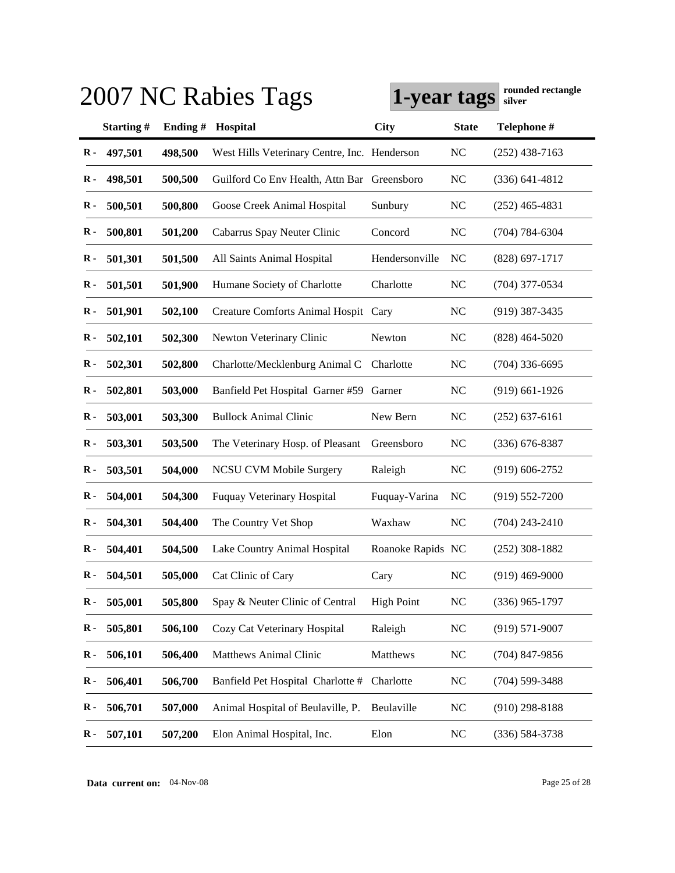|               |               |         | 2007 NC Rabies Tags                          | 1-year tags       |              | rounded rectangle<br>silver |
|---------------|---------------|---------|----------------------------------------------|-------------------|--------------|-----------------------------|
|               | Starting#     | Ending# | <b>Hospital</b>                              | <b>City</b>       | <b>State</b> | Telephone #                 |
| $\bf R -$     | 497,501       | 498,500 | West Hills Veterinary Centre, Inc. Henderson |                   | <b>NC</b>    | $(252)$ 438-7163            |
| R -           | 498,501       | 500,500 | Guilford Co Env Health, Attn Bar Greensboro  |                   | NC           | $(336)$ 641-4812            |
| R -           | 500,501       | 500,800 | Goose Creek Animal Hospital                  | Sunbury           | NC           | $(252)$ 465-4831            |
| $\bf R$ -     | 500,801       | 501,200 | Cabarrus Spay Neuter Clinic                  | Concord           | NC           | $(704) 784 - 6304$          |
| $\bf R$ -     | 501,301       | 501,500 | All Saints Animal Hospital                   | Hendersonville    | NC           | $(828)$ 697-1717            |
| $\bf R$ -     | 501,501       | 501,900 | Humane Society of Charlotte                  | Charlotte         | NC           | $(704)$ 377-0534            |
| $\bf R$ -     | 501,901       | 502,100 | Creature Comforts Animal Hospit Cary         |                   | NC           | $(919)$ 387-3435            |
| $\bf R$ -     | 502,101       | 502,300 | Newton Veterinary Clinic                     | Newton            | NC           | $(828)$ 464-5020            |
| $\bf R$ -     | 502,301       | 502,800 | Charlotte/Mecklenburg Animal C               | Charlotte         | NC           | $(704)$ 336-6695            |
| $\bf R$ -     | 502,801       | 503,000 | Banfield Pet Hospital Garner #59             | Garner            | NC           | $(919)$ 661-1926            |
| $\bf R$ -     | 503,001       | 503,300 | <b>Bullock Animal Clinic</b>                 | New Bern          | NC           | $(252)$ 637-6161            |
| R -           | 503,301       | 503,500 | The Veterinary Hosp. of Pleasant             | Greensboro        | NC           | $(336)$ 676-8387            |
| R -           | 503,501       | 504,000 | <b>NCSU CVM Mobile Surgery</b>               | Raleigh           | NC           | $(919)$ 606-2752            |
| R -           | 504,001       | 504,300 | <b>Fuquay Veterinary Hospital</b>            | Fuquay-Varina     | NC           | $(919)$ 552-7200            |
| R -           | 504,301       | 504,400 | The Country Vet Shop                         | Waxhaw            | NC           | $(704)$ 243-2410            |
| R -           | 504,401       | 504,500 | Lake Country Animal Hospital                 | Roanoke Rapids NC |              | $(252)$ 308-1882            |
|               | $R - 504,501$ | 505,000 | Cat Clinic of Cary                           | Cary              | NC           | $(919)$ 469-9000            |
| $\mathbf R$ - | 505,001       | 505,800 | Spay & Neuter Clinic of Central              | <b>High Point</b> | NC           | $(336)$ 965-1797            |
| $\bf R$ -     | 505,801       | 506,100 | Cozy Cat Veterinary Hospital                 | Raleigh           | NC           | $(919) 571 - 9007$          |
| $\bf R$ -     | 506,101       | 506,400 | Matthews Animal Clinic                       | Matthews          | NC           | $(704)$ 847-9856            |
| $\bf R$ -     | 506,401       | 506,700 | Banfield Pet Hospital Charlotte #            | Charlotte         | NC           | $(704) 599 - 3488$          |
| $\bf R$ -     | 506,701       | 507,000 | Animal Hospital of Beulaville, P.            | Beulaville        | NC           | $(910)$ 298-8188            |
| $\bf R$ -     | 507,101       | 507,200 | Elon Animal Hospital, Inc.                   | Elon              | NC           | $(336) 584 - 3738$          |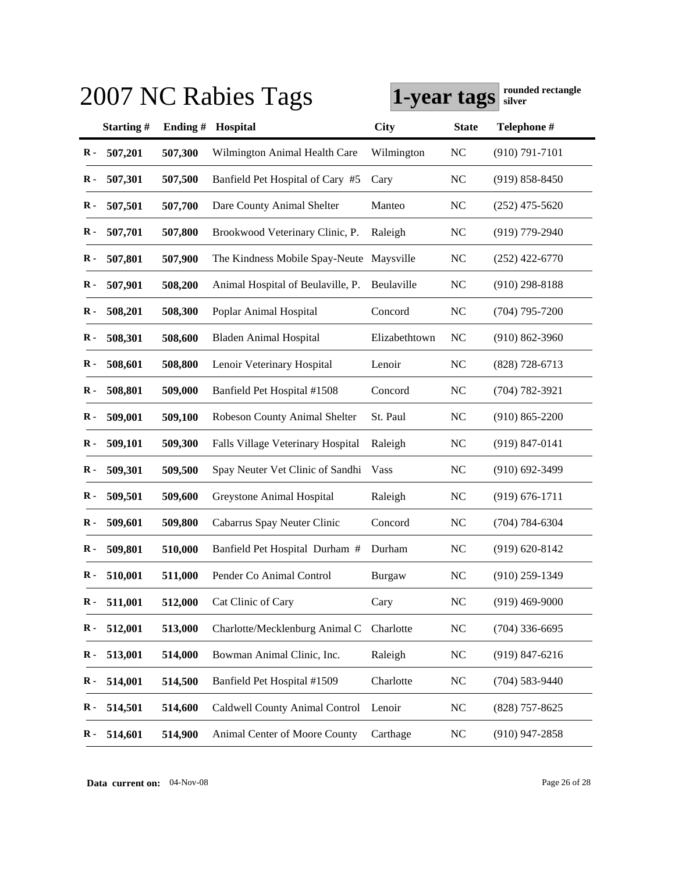|               |               |         | 2007 NC Rabies Tags                      | 1-year tags   |              | rounded rectangle<br>silver |
|---------------|---------------|---------|------------------------------------------|---------------|--------------|-----------------------------|
|               | Starting#     | Ending# | <b>Hospital</b>                          | <b>City</b>   | <b>State</b> | Telephone #                 |
| $\bf R -$     | 507,201       | 507,300 | Wilmington Animal Health Care            | Wilmington    | <b>NC</b>    | $(910) 791 - 7101$          |
| $\bf R$ -     | 507,301       | 507,500 | Banfield Pet Hospital of Cary #5         | Cary          | NC           | $(919) 858 - 8450$          |
| $\bf R$ -     | 507,501       | 507,700 | Dare County Animal Shelter               | Manteo        | NC           | $(252)$ 475-5620            |
| $\bf R$ -     | 507,701       | 507,800 | Brookwood Veterinary Clinic, P.          | Raleigh       | NC           | $(919)$ 779-2940            |
| $\bf R$ -     | 507,801       | 507,900 | The Kindness Mobile Spay-Neute Maysville |               | NC           | $(252)$ 422-6770            |
| $\bf R$ -     | 507,901       | 508,200 | Animal Hospital of Beulaville, P.        | Beulaville    | NC           | $(910)$ 298-8188            |
| $\bf R$ -     | 508,201       | 508,300 | Poplar Animal Hospital                   | Concord       | NC           | $(704)$ 795-7200            |
| $\bf R$ -     | 508,301       | 508,600 | <b>Bladen Animal Hospital</b>            | Elizabethtown | NC           | $(910) 862 - 3960$          |
| $\bf R$ -     | 508,601       | 508,800 | Lenoir Veterinary Hospital               | Lenoir        | NC           | $(828)$ 728-6713            |
| $\bf R$ -     | 508,801       | 509,000 | Banfield Pet Hospital #1508              | Concord       | <b>NC</b>    | $(704) 782 - 3921$          |
| $\bf R$ -     | 509,001       | 509,100 | Robeson County Animal Shelter            | St. Paul      | <b>NC</b>    | $(910) 865 - 2200$          |
| R -           | 509,101       | 509,300 | Falls Village Veterinary Hospital        | Raleigh       | NC           | $(919)$ 847-0141            |
| R -           | 509,301       | 509,500 | Spay Neuter Vet Clinic of Sandhi         | <b>Vass</b>   | NC           | $(910)$ 692-3499            |
| R -           | 509,501       | 509,600 | Greystone Animal Hospital                | Raleigh       | <b>NC</b>    | $(919) 676 - 1711$          |
| R -           | 509,601       | 509,800 | Cabarrus Spay Neuter Clinic              | Concord       | NC           | $(704) 784 - 6304$          |
| R -           | 509,801       | 510,000 | Banfield Pet Hospital Durham #           | Durham        | NC           | $(919) 620 - 8142$          |
|               | $R - 510,001$ | 511,000 | Pender Co Animal Control                 | Burgaw        | NC           | $(910)$ 259-1349            |
| $\mathbf R$ - | 511,001       | 512,000 | Cat Clinic of Cary                       | Cary          | NC           | $(919)$ 469-9000            |
| $\bf R$ -     | 512,001       | 513,000 | Charlotte/Mecklenburg Animal C           | Charlotte     | NC           | $(704)$ 336-6695            |
| $\bf R$ -     | 513,001       | 514,000 | Bowman Animal Clinic, Inc.               | Raleigh       | NC           | $(919)$ 847-6216            |
| $\bf R$ -     | 514,001       | 514,500 | Banfield Pet Hospital #1509              | Charlotte     | NC           | $(704) 583 - 9440$          |
| $\bf R$ -     | 514,501       | 514,600 | Caldwell County Animal Control           | Lenoir        | NC           | $(828)$ 757-8625            |
| $\bf R -$     | 514,601       | 514,900 | Animal Center of Moore County            | Carthage      | NC           | $(910)$ 947-2858            |

**Data current on:** 04-Nov-08 Page 26 of 28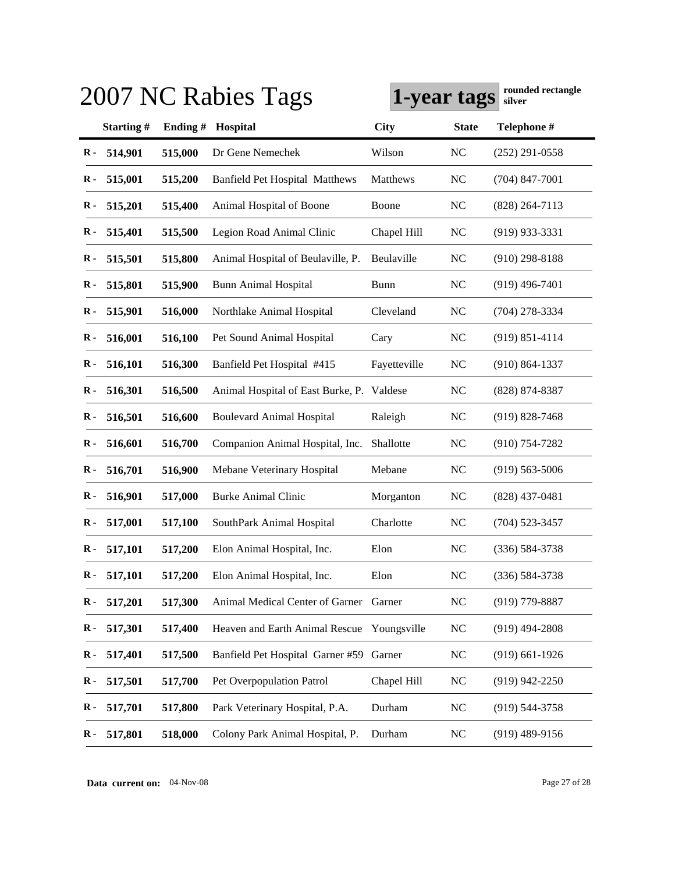|               |               |            | 2007 NC Rabies Tags                        | 1-year tags  |              | rounded rectangle<br>silver |
|---------------|---------------|------------|--------------------------------------------|--------------|--------------|-----------------------------|
|               | Starting#     | Ending $#$ | <b>Hospital</b>                            | <b>City</b>  | <b>State</b> | Telephone #                 |
| $\bf R -$     | 514,901       | 515,000    | Dr Gene Nemechek                           | Wilson       | NC           | $(252)$ 291-0558            |
| $\bf R$ -     | 515,001       | 515,200    | <b>Banfield Pet Hospital Matthews</b>      | Matthews     | NC           | $(704)$ 847-7001            |
| $\bf R$ -     | 515,201       | 515,400    | Animal Hospital of Boone                   | Boone        | NC           | $(828)$ 264-7113            |
| $\bf R$ -     | 515,401       | 515,500    | Legion Road Animal Clinic                  | Chapel Hill  | NC           | $(919)$ 933-3331            |
| $\bf R$ -     | 515,501       | 515,800    | Animal Hospital of Beulaville, P.          | Beulaville   | NC           | $(910)$ 298-8188            |
| $\bf R$ -     | 515,801       | 515,900    | <b>Bunn Animal Hospital</b>                | <b>Bunn</b>  | NC           | $(919)$ 496-7401            |
| $\bf R$ -     | 515,901       | 516,000    | Northlake Animal Hospital                  | Cleveland    | NC           | $(704)$ 278-3334            |
| $\bf R$ -     | 516,001       | 516,100    | Pet Sound Animal Hospital                  | Cary         | NC           | $(919) 851 - 4114$          |
| $\bf R$ -     | 516,101       | 516,300    | Banfield Pet Hospital #415                 | Fayetteville | NC           | $(910) 864 - 1337$          |
| $\bf R$ -     | 516,301       | 516,500    | Animal Hospital of East Burke, P. Valdese  |              | NC           | $(828) 874 - 8387$          |
| $\bf R$ -     | 516,501       | 516,600    | <b>Boulevard Animal Hospital</b>           | Raleigh      | NC           | $(919)$ 828-7468            |
| R -           | 516,601       | 516,700    | Companion Animal Hospital, Inc.            | Shallotte    | NC           | $(910)$ 754-7282            |
| $\bf R$ -     | 516,701       | 516,900    | Mebane Veterinary Hospital                 | Mebane       | NC           | $(919)$ 563-5006            |
| $\bf R$ -     | 516,901       | 517,000    | <b>Burke Animal Clinic</b>                 | Morganton    | NC           | $(828)$ 437-0481            |
| R -           | 517,001       | 517,100    | SouthPark Animal Hospital                  | Charlotte    | NC           | $(704)$ 523-3457            |
| $\bf R$ -     | 517,101       | 517,200    | Elon Animal Hospital, Inc.                 | Elon         | NC           | $(336) 584 - 3738$          |
|               | $R - 517,101$ | 517,200    | Elon Animal Hospital, Inc.                 | Elon         | NC           | $(336) 584 - 3738$          |
| $\mathbf R$ - | 517,201       | 517,300    | Animal Medical Center of Garner Garner     |              | NC           | $(919)$ 779-8887            |
| $\bf R$ -     | 517,301       | 517,400    | Heaven and Earth Animal Rescue Youngsville |              | NC           | $(919)$ 494-2808            |
| $\bf R$ -     | 517,401       | 517,500    | Banfield Pet Hospital Garner #59 Garner    |              | NC           | $(919)$ 661-1926            |
| $\bf R$ -     | 517,501       | 517,700    | Pet Overpopulation Patrol                  | Chapel Hill  | NC           | $(919)$ 942-2250            |
| $\bf R$ -     | 517,701       | 517,800    | Park Veterinary Hospital, P.A.             | Durham       | NC           | (919) 544-3758              |
| $\bf R -$     | 517,801       | 518,000    | Colony Park Animal Hospital, P.            | Durham       | NC           | $(919)$ 489-9156            |